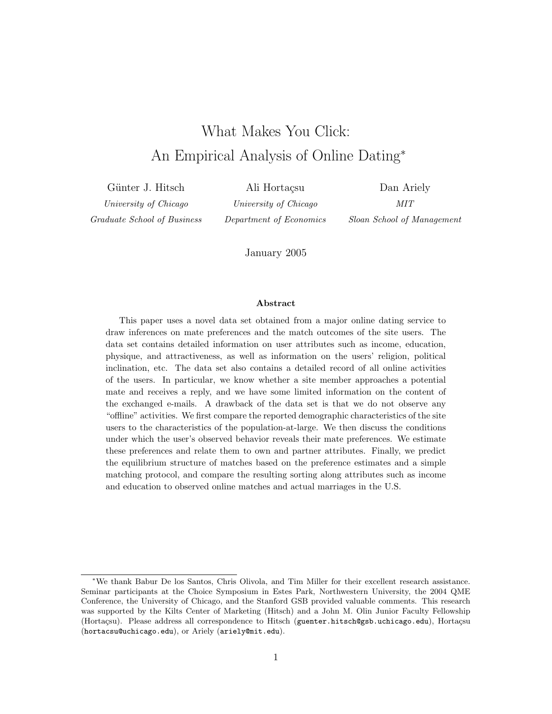# What Makes You Click: An Empirical Analysis of Online Dating<sup>∗</sup>

Günter J. Hitsch

University of Chicago Graduate School of Business

Ali Hortaçsu University of Chicago Department of Economics

Dan Ariely MIT Sloan School of Management

January 2005

#### Abstract

This paper uses a novel data set obtained from a major online dating service to draw inferences on mate preferences and the match outcomes of the site users. The data set contains detailed information on user attributes such as income, education, physique, and attractiveness, as well as information on the users' religion, political inclination, etc. The data set also contains a detailed record of all online activities of the users. In particular, we know whether a site member approaches a potential mate and receives a reply, and we have some limited information on the content of the exchanged e-mails. A drawback of the data set is that we do not observe any "offline" activities. We first compare the reported demographic characteristics of the site users to the characteristics of the population-at-large. We then discuss the conditions under which the user's observed behavior reveals their mate preferences. We estimate these preferences and relate them to own and partner attributes. Finally, we predict the equilibrium structure of matches based on the preference estimates and a simple matching protocol, and compare the resulting sorting along attributes such as income and education to observed online matches and actual marriages in the U.S.

<sup>∗</sup>We thank Babur De los Santos, Chris Olivola, and Tim Miller for their excellent research assistance. Seminar participants at the Choice Symposium in Estes Park, Northwestern University, the 2004 QME Conference, the University of Chicago, and the Stanford GSB provided valuable comments. This research was supported by the Kilts Center of Marketing (Hitsch) and a John M. Olin Junior Faculty Fellowship (Hortaçsu). Please address all correspondence to Hitsch (guenter.hitsch@gsb.uchicago.edu), Hortaçsu (hortacsu@uchicago.edu), or Ariely (ariely@mit.edu).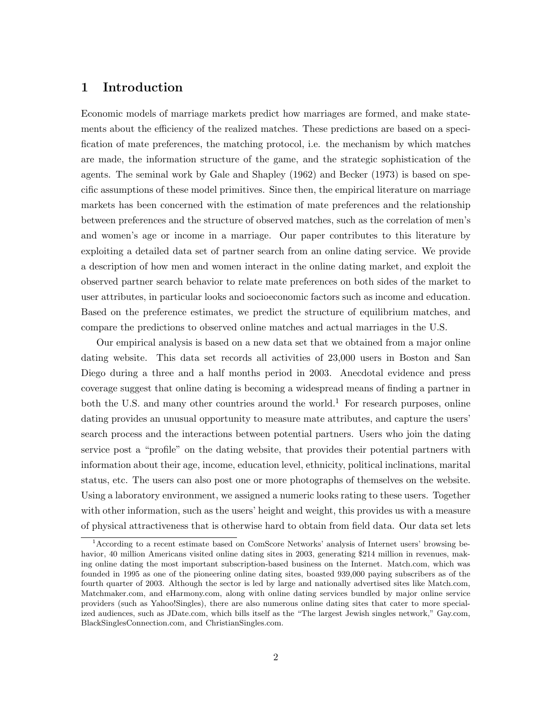### 1 Introduction

Economic models of marriage markets predict how marriages are formed, and make statements about the efficiency of the realized matches. These predictions are based on a specification of mate preferences, the matching protocol, i.e. the mechanism by which matches are made, the information structure of the game, and the strategic sophistication of the agents. The seminal work by Gale and Shapley (1962) and Becker (1973) is based on specific assumptions of these model primitives. Since then, the empirical literature on marriage markets has been concerned with the estimation of mate preferences and the relationship between preferences and the structure of observed matches, such as the correlation of men's and women's age or income in a marriage. Our paper contributes to this literature by exploiting a detailed data set of partner search from an online dating service. We provide a description of how men and women interact in the online dating market, and exploit the observed partner search behavior to relate mate preferences on both sides of the market to user attributes, in particular looks and socioeconomic factors such as income and education. Based on the preference estimates, we predict the structure of equilibrium matches, and compare the predictions to observed online matches and actual marriages in the U.S.

Our empirical analysis is based on a new data set that we obtained from a major online dating website. This data set records all activities of 23,000 users in Boston and San Diego during a three and a half months period in 2003. Anecdotal evidence and press coverage suggest that online dating is becoming a widespread means of finding a partner in both the U.S. and many other countries around the world.<sup>1</sup> For research purposes, online dating provides an unusual opportunity to measure mate attributes, and capture the users' search process and the interactions between potential partners. Users who join the dating service post a "profile" on the dating website, that provides their potential partners with information about their age, income, education level, ethnicity, political inclinations, marital status, etc. The users can also post one or more photographs of themselves on the website. Using a laboratory environment, we assigned a numeric looks rating to these users. Together with other information, such as the users' height and weight, this provides us with a measure of physical attractiveness that is otherwise hard to obtain from field data. Our data set lets

<sup>&</sup>lt;sup>1</sup> According to a recent estimate based on ComScore Networks' analysis of Internet users' browsing behavior, 40 million Americans visited online dating sites in 2003, generating \$214 million in revenues, making online dating the most important subscription-based business on the Internet. Match.com, which was founded in 1995 as one of the pioneering online dating sites, boasted 939,000 paying subscribers as of the fourth quarter of 2003. Although the sector is led by large and nationally advertised sites like Match.com, Matchmaker.com, and eHarmony.com, along with online dating services bundled by major online service providers (such as Yahoo!Singles), there are also numerous online dating sites that cater to more specialized audiences, such as JDate.com, which bills itself as the "The largest Jewish singles network," Gay.com, BlackSinglesConnection.com, and ChristianSingles.com.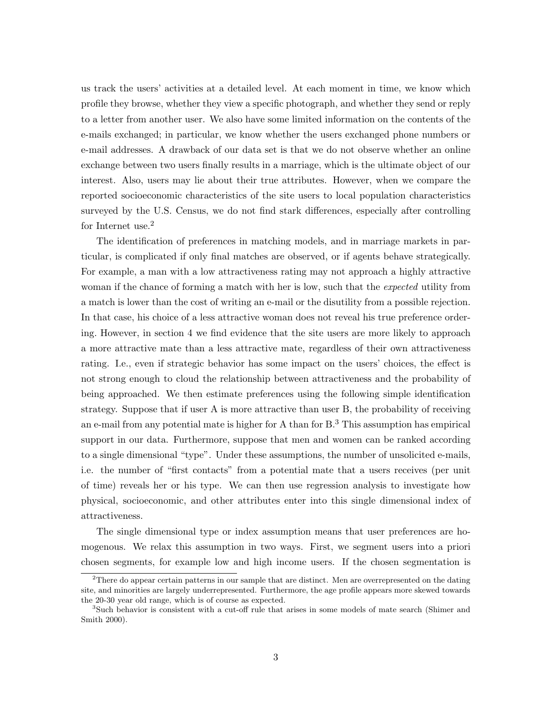us track the users' activities at a detailed level. At each moment in time, we know which profile they browse, whether they view a specific photograph, and whether they send or reply to a letter from another user. We also have some limited information on the contents of the e-mails exchanged; in particular, we know whether the users exchanged phone numbers or e-mail addresses. A drawback of our data set is that we do not observe whether an online exchange between two users finally results in a marriage, which is the ultimate object of our interest. Also, users may lie about their true attributes. However, when we compare the reported socioeconomic characteristics of the site users to local population characteristics surveyed by the U.S. Census, we do not find stark differences, especially after controlling for Internet use.<sup>2</sup>

The identification of preferences in matching models, and in marriage markets in particular, is complicated if only final matches are observed, or if agents behave strategically. For example, a man with a low attractiveness rating may not approach a highly attractive woman if the chance of forming a match with her is low, such that the *expected* utility from a match is lower than the cost of writing an e-mail or the disutility from a possible rejection. In that case, his choice of a less attractive woman does not reveal his true preference ordering. However, in section 4 we find evidence that the site users are more likely to approach a more attractive mate than a less attractive mate, regardless of their own attractiveness rating. I.e., even if strategic behavior has some impact on the users' choices, the effect is not strong enough to cloud the relationship between attractiveness and the probability of being approached. We then estimate preferences using the following simple identification strategy. Suppose that if user A is more attractive than user B, the probability of receiving an e-mail from any potential mate is higher for A than for  $B<sup>3</sup>$ . This assumption has empirical support in our data. Furthermore, suppose that men and women can be ranked according to a single dimensional "type". Under these assumptions, the number of unsolicited e-mails, i.e. the number of "first contacts" from a potential mate that a users receives (per unit of time) reveals her or his type. We can then use regression analysis to investigate how physical, socioeconomic, and other attributes enter into this single dimensional index of attractiveness.

The single dimensional type or index assumption means that user preferences are homogenous. We relax this assumption in two ways. First, we segment users into a priori chosen segments, for example low and high income users. If the chosen segmentation is

<sup>&</sup>lt;sup>2</sup>There do appear certain patterns in our sample that are distinct. Men are overrepresented on the dating site, and minorities are largely underrepresented. Furthermore, the age profile appears more skewed towards the 20-30 year old range, which is of course as expected.

<sup>3</sup>Such behavior is consistent with a cut-off rule that arises in some models of mate search (Shimer and Smith 2000).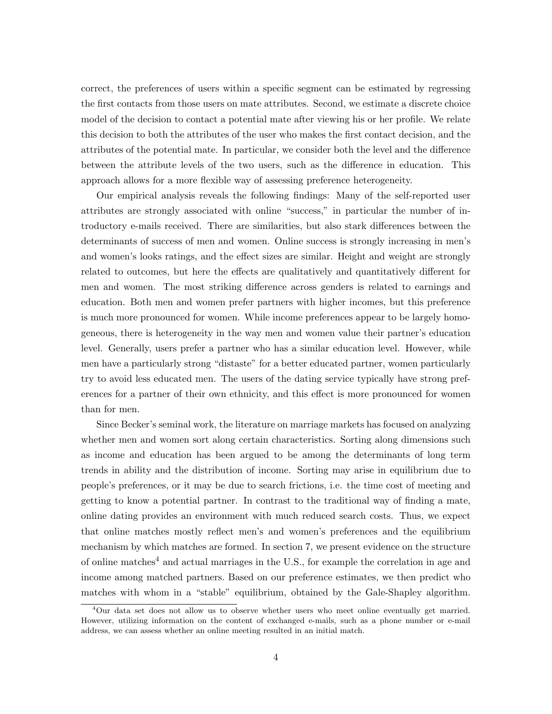correct, the preferences of users within a specific segment can be estimated by regressing the first contacts from those users on mate attributes. Second, we estimate a discrete choice model of the decision to contact a potential mate after viewing his or her profile. We relate this decision to both the attributes of the user who makes the first contact decision, and the attributes of the potential mate. In particular, we consider both the level and the difference between the attribute levels of the two users, such as the difference in education. This approach allows for a more flexible way of assessing preference heterogeneity.

Our empirical analysis reveals the following findings: Many of the self-reported user attributes are strongly associated with online "success," in particular the number of introductory e-mails received. There are similarities, but also stark differences between the determinants of success of men and women. Online success is strongly increasing in men's and women's looks ratings, and the effect sizes are similar. Height and weight are strongly related to outcomes, but here the effects are qualitatively and quantitatively different for men and women. The most striking difference across genders is related to earnings and education. Both men and women prefer partners with higher incomes, but this preference is much more pronounced for women. While income preferences appear to be largely homogeneous, there is heterogeneity in the way men and women value their partner's education level. Generally, users prefer a partner who has a similar education level. However, while men have a particularly strong "distaste" for a better educated partner, women particularly try to avoid less educated men. The users of the dating service typically have strong preferences for a partner of their own ethnicity, and this effect is more pronounced for women than for men.

Since Becker's seminal work, the literature on marriage markets has focused on analyzing whether men and women sort along certain characteristics. Sorting along dimensions such as income and education has been argued to be among the determinants of long term trends in ability and the distribution of income. Sorting may arise in equilibrium due to people's preferences, or it may be due to search frictions, i.e. the time cost of meeting and getting to know a potential partner. In contrast to the traditional way of finding a mate, online dating provides an environment with much reduced search costs. Thus, we expect that online matches mostly reflect men's and women's preferences and the equilibrium mechanism by which matches are formed. In section 7, we present evidence on the structure of online matches<sup>4</sup> and actual marriages in the U.S., for example the correlation in age and income among matched partners. Based on our preference estimates, we then predict who matches with whom in a "stable" equilibrium, obtained by the Gale-Shapley algorithm.

<sup>&</sup>lt;sup>4</sup>Our data set does not allow us to observe whether users who meet online eventually get married. However, utilizing information on the content of exchanged e-mails, such as a phone number or e-mail address, we can assess whether an online meeting resulted in an initial match.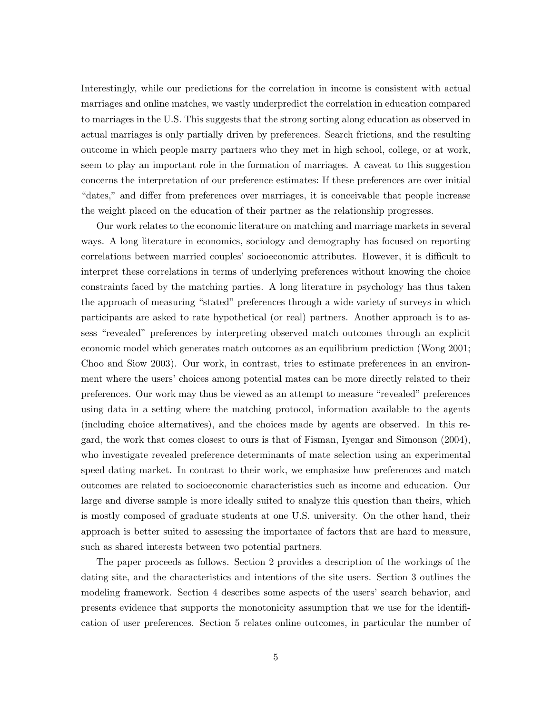Interestingly, while our predictions for the correlation in income is consistent with actual marriages and online matches, we vastly underpredict the correlation in education compared to marriages in the U.S. This suggests that the strong sorting along education as observed in actual marriages is only partially driven by preferences. Search frictions, and the resulting outcome in which people marry partners who they met in high school, college, or at work, seem to play an important role in the formation of marriages. A caveat to this suggestion concerns the interpretation of our preference estimates: If these preferences are over initial "dates," and differ from preferences over marriages, it is conceivable that people increase the weight placed on the education of their partner as the relationship progresses.

Our work relates to the economic literature on matching and marriage markets in several ways. A long literature in economics, sociology and demography has focused on reporting correlations between married couples' socioeconomic attributes. However, it is difficult to interpret these correlations in terms of underlying preferences without knowing the choice constraints faced by the matching parties. A long literature in psychology has thus taken the approach of measuring "stated" preferences through a wide variety of surveys in which participants are asked to rate hypothetical (or real) partners. Another approach is to assess "revealed" preferences by interpreting observed match outcomes through an explicit economic model which generates match outcomes as an equilibrium prediction (Wong 2001; Choo and Siow 2003). Our work, in contrast, tries to estimate preferences in an environment where the users' choices among potential mates can be more directly related to their preferences. Our work may thus be viewed as an attempt to measure "revealed" preferences using data in a setting where the matching protocol, information available to the agents (including choice alternatives), and the choices made by agents are observed. In this regard, the work that comes closest to ours is that of Fisman, Iyengar and Simonson (2004), who investigate revealed preference determinants of mate selection using an experimental speed dating market. In contrast to their work, we emphasize how preferences and match outcomes are related to socioeconomic characteristics such as income and education. Our large and diverse sample is more ideally suited to analyze this question than theirs, which is mostly composed of graduate students at one U.S. university. On the other hand, their approach is better suited to assessing the importance of factors that are hard to measure, such as shared interests between two potential partners.

The paper proceeds as follows. Section 2 provides a description of the workings of the dating site, and the characteristics and intentions of the site users. Section 3 outlines the modeling framework. Section 4 describes some aspects of the users' search behavior, and presents evidence that supports the monotonicity assumption that we use for the identification of user preferences. Section 5 relates online outcomes, in particular the number of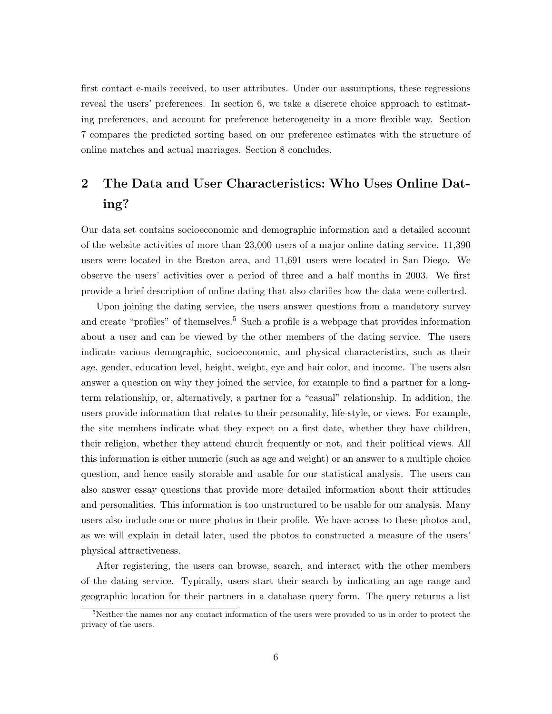first contact e-mails received, to user attributes. Under our assumptions, these regressions reveal the users' preferences. In section 6, we take a discrete choice approach to estimating preferences, and account for preference heterogeneity in a more flexible way. Section 7 compares the predicted sorting based on our preference estimates with the structure of online matches and actual marriages. Section 8 concludes.

## 2 The Data and User Characteristics: Who Uses Online Dating?

Our data set contains socioeconomic and demographic information and a detailed account of the website activities of more than 23,000 users of a major online dating service. 11,390 users were located in the Boston area, and 11,691 users were located in San Diego. We observe the users' activities over a period of three and a half months in 2003. We first provide a brief description of online dating that also clarifies how the data were collected.

Upon joining the dating service, the users answer questions from a mandatory survey and create "profiles" of themselves.<sup>5</sup> Such a profile is a webpage that provides information about a user and can be viewed by the other members of the dating service. The users indicate various demographic, socioeconomic, and physical characteristics, such as their age, gender, education level, height, weight, eye and hair color, and income. The users also answer a question on why they joined the service, for example to find a partner for a longterm relationship, or, alternatively, a partner for a "casual" relationship. In addition, the users provide information that relates to their personality, life-style, or views. For example, the site members indicate what they expect on a first date, whether they have children, their religion, whether they attend church frequently or not, and their political views. All this information is either numeric (such as age and weight) or an answer to a multiple choice question, and hence easily storable and usable for our statistical analysis. The users can also answer essay questions that provide more detailed information about their attitudes and personalities. This information is too unstructured to be usable for our analysis. Many users also include one or more photos in their profile. We have access to these photos and, as we will explain in detail later, used the photos to constructed a measure of the users' physical attractiveness.

After registering, the users can browse, search, and interact with the other members of the dating service. Typically, users start their search by indicating an age range and geographic location for their partners in a database query form. The query returns a list

 $5$ Neither the names nor any contact information of the users were provided to us in order to protect the privacy of the users.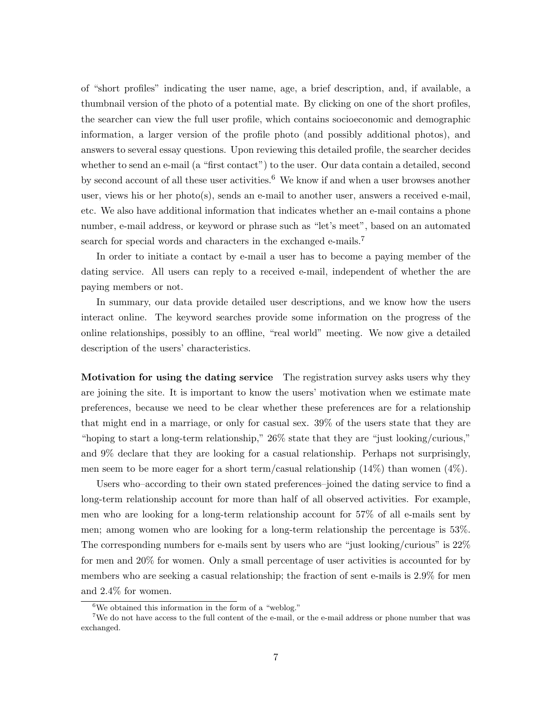of "short profiles" indicating the user name, age, a brief description, and, if available, a thumbnail version of the photo of a potential mate. By clicking on one of the short profiles, the searcher can view the full user profile, which contains socioeconomic and demographic information, a larger version of the profile photo (and possibly additional photos), and answers to several essay questions. Upon reviewing this detailed profile, the searcher decides whether to send an e-mail (a "first contact") to the user. Our data contain a detailed, second by second account of all these user activities.<sup>6</sup> We know if and when a user browses another user, views his or her photo(s), sends an e-mail to another user, answers a received e-mail, etc. We also have additional information that indicates whether an e-mail contains a phone number, e-mail address, or keyword or phrase such as "let's meet", based on an automated search for special words and characters in the exchanged e-mails.<sup>7</sup>

In order to initiate a contact by e-mail a user has to become a paying member of the dating service. All users can reply to a received e-mail, independent of whether the are paying members or not.

In summary, our data provide detailed user descriptions, and we know how the users interact online. The keyword searches provide some information on the progress of the online relationships, possibly to an offline, "real world" meeting. We now give a detailed description of the users' characteristics.

Motivation for using the dating service The registration survey asks users why they are joining the site. It is important to know the users' motivation when we estimate mate preferences, because we need to be clear whether these preferences are for a relationship that might end in a marriage, or only for casual sex. 39% of the users state that they are "hoping to start a long-term relationship," 26% state that they are "just looking/curious," and 9% declare that they are looking for a casual relationship. Perhaps not surprisingly, men seem to be more eager for a short term/casual relationship  $(14%)$  than women  $(4%)$ .

Users who–according to their own stated preferences–joined the dating service to find a long-term relationship account for more than half of all observed activities. For example, men who are looking for a long-term relationship account for 57% of all e-mails sent by men; among women who are looking for a long-term relationship the percentage is 53%. The corresponding numbers for e-mails sent by users who are "just looking/curious" is 22% for men and 20% for women. Only a small percentage of user activities is accounted for by members who are seeking a casual relationship; the fraction of sent e-mails is 2.9% for men and 2.4% for women.

 ${}^{6}$ We obtained this information in the form of a "weblog."

<sup>7</sup>We do not have access to the full content of the e-mail, or the e-mail address or phone number that was exchanged.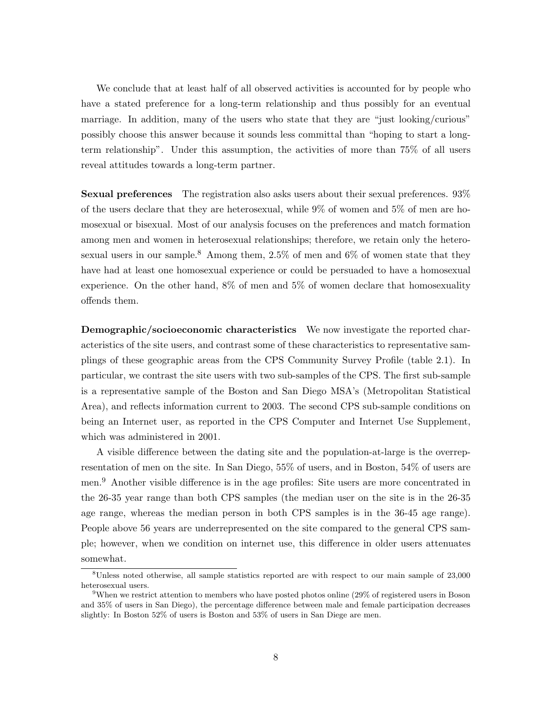We conclude that at least half of all observed activities is accounted for by people who have a stated preference for a long-term relationship and thus possibly for an eventual marriage. In addition, many of the users who state that they are "just looking/curious" possibly choose this answer because it sounds less committal than "hoping to start a longterm relationship". Under this assumption, the activities of more than 75% of all users reveal attitudes towards a long-term partner.

Sexual preferences The registration also asks users about their sexual preferences. 93% of the users declare that they are heterosexual, while 9% of women and 5% of men are homosexual or bisexual. Most of our analysis focuses on the preferences and match formation among men and women in heterosexual relationships; therefore, we retain only the heterosexual users in our sample.<sup>8</sup> Among them, 2.5% of men and 6% of women state that they have had at least one homosexual experience or could be persuaded to have a homosexual experience. On the other hand, 8% of men and 5% of women declare that homosexuality offends them.

Demographic/socioeconomic characteristics We now investigate the reported characteristics of the site users, and contrast some of these characteristics to representative samplings of these geographic areas from the CPS Community Survey Profile (table 2.1). In particular, we contrast the site users with two sub-samples of the CPS. The first sub-sample is a representative sample of the Boston and San Diego MSA's (Metropolitan Statistical Area), and reflects information current to 2003. The second CPS sub-sample conditions on being an Internet user, as reported in the CPS Computer and Internet Use Supplement, which was administered in 2001.

A visible difference between the dating site and the population-at-large is the overrepresentation of men on the site. In San Diego, 55% of users, and in Boston, 54% of users are men.<sup>9</sup> Another visible difference is in the age profiles: Site users are more concentrated in the 26-35 year range than both CPS samples (the median user on the site is in the 26-35 age range, whereas the median person in both CPS samples is in the 36-45 age range). People above 56 years are underrepresented on the site compared to the general CPS sample; however, when we condition on internet use, this difference in older users attenuates somewhat.

<sup>8</sup>Unless noted otherwise, all sample statistics reported are with respect to our main sample of 23,000 heterosexual users.

<sup>9</sup>When we restrict attention to members who have posted photos online (29% of registered users in Boson and 35% of users in San Diego), the percentage difference between male and female participation decreases slightly: In Boston 52% of users is Boston and 53% of users in San Diege are men.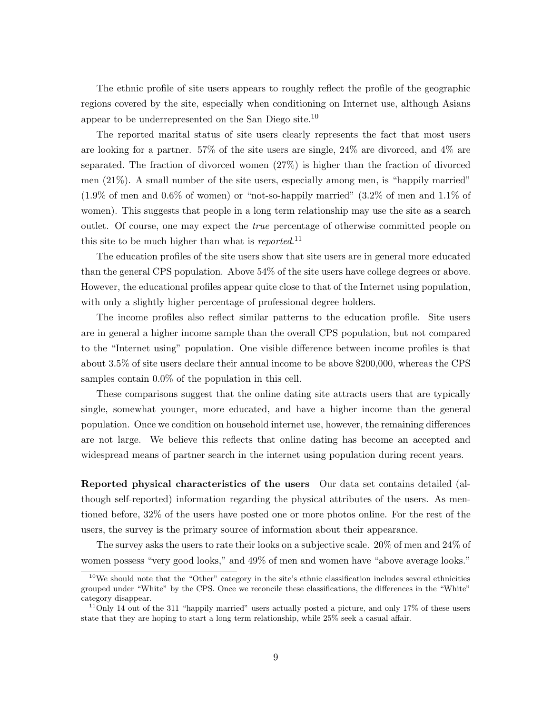The ethnic profile of site users appears to roughly reflect the profile of the geographic regions covered by the site, especially when conditioning on Internet use, although Asians appear to be underrepresented on the San Diego site.<sup>10</sup>

The reported marital status of site users clearly represents the fact that most users are looking for a partner. 57% of the site users are single, 24% are divorced, and 4% are separated. The fraction of divorced women (27%) is higher than the fraction of divorced men (21%). A small number of the site users, especially among men, is "happily married" (1.9% of men and 0.6% of women) or "not-so-happily married" (3.2% of men and 1.1% of women). This suggests that people in a long term relationship may use the site as a search outlet. Of course, one may expect the true percentage of otherwise committed people on this site to be much higher than what is *reported*.<sup>11</sup>

The education profiles of the site users show that site users are in general more educated than the general CPS population. Above 54% of the site users have college degrees or above. However, the educational profiles appear quite close to that of the Internet using population, with only a slightly higher percentage of professional degree holders.

The income profiles also reflect similar patterns to the education profile. Site users are in general a higher income sample than the overall CPS population, but not compared to the "Internet using" population. One visible difference between income profiles is that about 3.5% of site users declare their annual income to be above \$200,000, whereas the CPS samples contain 0.0% of the population in this cell.

These comparisons suggest that the online dating site attracts users that are typically single, somewhat younger, more educated, and have a higher income than the general population. Once we condition on household internet use, however, the remaining differences are not large. We believe this reflects that online dating has become an accepted and widespread means of partner search in the internet using population during recent years.

Reported physical characteristics of the users Our data set contains detailed (although self-reported) information regarding the physical attributes of the users. As mentioned before, 32% of the users have posted one or more photos online. For the rest of the users, the survey is the primary source of information about their appearance.

The survey asks the users to rate their looks on a subjective scale. 20% of men and 24% of women possess "very good looks," and 49% of men and women have "above average looks."

<sup>&</sup>lt;sup>10</sup>We should note that the "Other" category in the site's ethnic classification includes several ethnicities grouped under "White" by the CPS. Once we reconcile these classifications, the differences in the "White" category disappear.

<sup>&</sup>lt;sup>11</sup>Only 14 out of the 311 "happily married" users actually posted a picture, and only 17\% of these users state that they are hoping to start a long term relationship, while 25% seek a casual affair.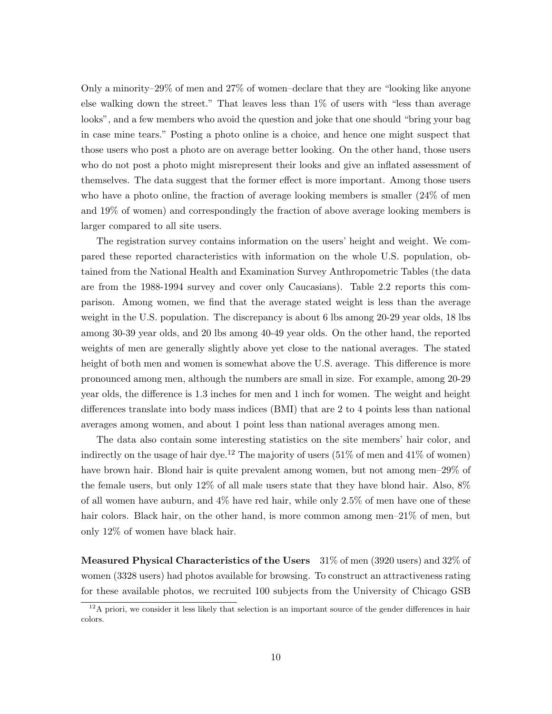Only a minority–29% of men and 27% of women–declare that they are "looking like anyone else walking down the street." That leaves less than 1% of users with "less than average looks", and a few members who avoid the question and joke that one should "bring your bag in case mine tears." Posting a photo online is a choice, and hence one might suspect that those users who post a photo are on average better looking. On the other hand, those users who do not post a photo might misrepresent their looks and give an inflated assessment of themselves. The data suggest that the former effect is more important. Among those users who have a photo online, the fraction of average looking members is smaller (24% of men and 19% of women) and correspondingly the fraction of above average looking members is larger compared to all site users.

The registration survey contains information on the users' height and weight. We compared these reported characteristics with information on the whole U.S. population, obtained from the National Health and Examination Survey Anthropometric Tables (the data are from the 1988-1994 survey and cover only Caucasians). Table 2.2 reports this comparison. Among women, we find that the average stated weight is less than the average weight in the U.S. population. The discrepancy is about 6 lbs among 20-29 year olds, 18 lbs among 30-39 year olds, and 20 lbs among 40-49 year olds. On the other hand, the reported weights of men are generally slightly above yet close to the national averages. The stated height of both men and women is somewhat above the U.S. average. This difference is more pronounced among men, although the numbers are small in size. For example, among 20-29 year olds, the difference is 1.3 inches for men and 1 inch for women. The weight and height differences translate into body mass indices (BMI) that are 2 to 4 points less than national averages among women, and about 1 point less than national averages among men.

The data also contain some interesting statistics on the site members' hair color, and indirectly on the usage of hair dye.<sup>12</sup> The majority of users  $(51\% \text{ of men and } 41\% \text{ of women})$ have brown hair. Blond hair is quite prevalent among women, but not among men–29% of the female users, but only 12% of all male users state that they have blond hair. Also, 8% of all women have auburn, and 4% have red hair, while only 2.5% of men have one of these hair colors. Black hair, on the other hand, is more common among men–21% of men, but only 12% of women have black hair.

Measured Physical Characteristics of the Users 31% of men (3920 users) and 32% of women (3328 users) had photos available for browsing. To construct an attractiveness rating for these available photos, we recruited 100 subjects from the University of Chicago GSB

 $12A$  priori, we consider it less likely that selection is an important source of the gender differences in hair colors.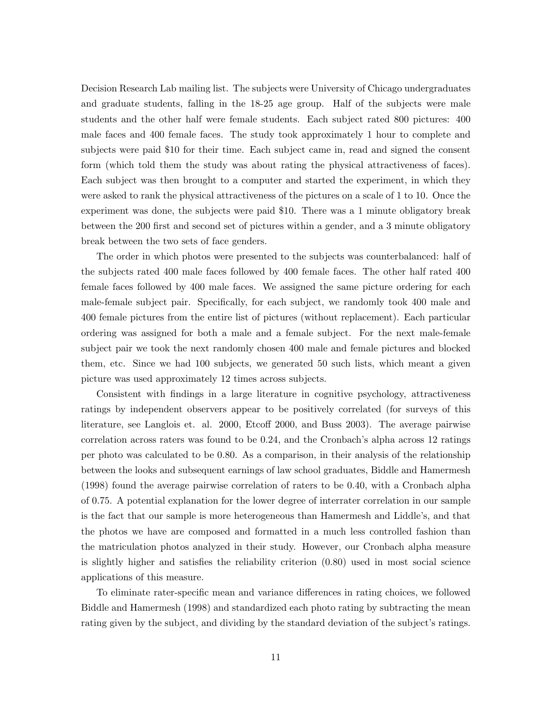Decision Research Lab mailing list. The subjects were University of Chicago undergraduates and graduate students, falling in the 18-25 age group. Half of the subjects were male students and the other half were female students. Each subject rated 800 pictures: 400 male faces and 400 female faces. The study took approximately 1 hour to complete and subjects were paid \$10 for their time. Each subject came in, read and signed the consent form (which told them the study was about rating the physical attractiveness of faces). Each subject was then brought to a computer and started the experiment, in which they were asked to rank the physical attractiveness of the pictures on a scale of 1 to 10. Once the experiment was done, the subjects were paid \$10. There was a 1 minute obligatory break between the 200 first and second set of pictures within a gender, and a 3 minute obligatory break between the two sets of face genders.

The order in which photos were presented to the subjects was counterbalanced: half of the subjects rated 400 male faces followed by 400 female faces. The other half rated 400 female faces followed by 400 male faces. We assigned the same picture ordering for each male-female subject pair. Specifically, for each subject, we randomly took 400 male and 400 female pictures from the entire list of pictures (without replacement). Each particular ordering was assigned for both a male and a female subject. For the next male-female subject pair we took the next randomly chosen 400 male and female pictures and blocked them, etc. Since we had 100 subjects, we generated 50 such lists, which meant a given picture was used approximately 12 times across subjects.

Consistent with findings in a large literature in cognitive psychology, attractiveness ratings by independent observers appear to be positively correlated (for surveys of this literature, see Langlois et. al. 2000, Etcoff 2000, and Buss 2003). The average pairwise correlation across raters was found to be 0.24, and the Cronbach's alpha across 12 ratings per photo was calculated to be 0.80. As a comparison, in their analysis of the relationship between the looks and subsequent earnings of law school graduates, Biddle and Hamermesh (1998) found the average pairwise correlation of raters to be 0.40, with a Cronbach alpha of 0.75. A potential explanation for the lower degree of interrater correlation in our sample is the fact that our sample is more heterogeneous than Hamermesh and Liddle's, and that the photos we have are composed and formatted in a much less controlled fashion than the matriculation photos analyzed in their study. However, our Cronbach alpha measure is slightly higher and satisfies the reliability criterion (0.80) used in most social science applications of this measure.

To eliminate rater-specific mean and variance differences in rating choices, we followed Biddle and Hamermesh (1998) and standardized each photo rating by subtracting the mean rating given by the subject, and dividing by the standard deviation of the subject's ratings.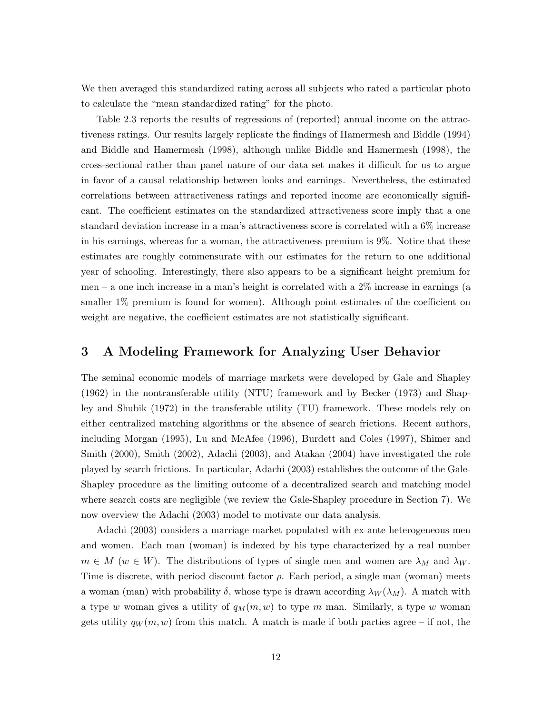We then averaged this standardized rating across all subjects who rated a particular photo to calculate the "mean standardized rating" for the photo.

Table 2.3 reports the results of regressions of (reported) annual income on the attractiveness ratings. Our results largely replicate the findings of Hamermesh and Biddle (1994) and Biddle and Hamermesh (1998), although unlike Biddle and Hamermesh (1998), the cross-sectional rather than panel nature of our data set makes it difficult for us to argue in favor of a causal relationship between looks and earnings. Nevertheless, the estimated correlations between attractiveness ratings and reported income are economically significant. The coefficient estimates on the standardized attractiveness score imply that a one standard deviation increase in a man's attractiveness score is correlated with a 6% increase in his earnings, whereas for a woman, the attractiveness premium is 9%. Notice that these estimates are roughly commensurate with our estimates for the return to one additional year of schooling. Interestingly, there also appears to be a significant height premium for men – a one inch increase in a man's height is correlated with a 2% increase in earnings (a smaller 1% premium is found for women). Although point estimates of the coefficient on weight are negative, the coefficient estimates are not statistically significant.

### 3 A Modeling Framework for Analyzing User Behavior

The seminal economic models of marriage markets were developed by Gale and Shapley (1962) in the nontransferable utility (NTU) framework and by Becker (1973) and Shapley and Shubik (1972) in the transferable utility (TU) framework. These models rely on either centralized matching algorithms or the absence of search frictions. Recent authors, including Morgan (1995), Lu and McAfee (1996), Burdett and Coles (1997), Shimer and Smith (2000), Smith (2002), Adachi (2003), and Atakan (2004) have investigated the role played by search frictions. In particular, Adachi (2003) establishes the outcome of the Gale-Shapley procedure as the limiting outcome of a decentralized search and matching model where search costs are negligible (we review the Gale-Shapley procedure in Section 7). We now overview the Adachi (2003) model to motivate our data analysis.

Adachi (2003) considers a marriage market populated with ex-ante heterogeneous men and women. Each man (woman) is indexed by his type characterized by a real number  $m \in M$  ( $w \in W$ ). The distributions of types of single men and women are  $\lambda_M$  and  $\lambda_W$ . Time is discrete, with period discount factor  $\rho$ . Each period, a single man (woman) meets a woman (man) with probability  $\delta$ , whose type is drawn according  $\lambda_W(\lambda_M)$ . A match with a type w woman gives a utility of  $q_M(m, w)$  to type m man. Similarly, a type w woman gets utility  $q_W(m, w)$  from this match. A match is made if both parties agree – if not, the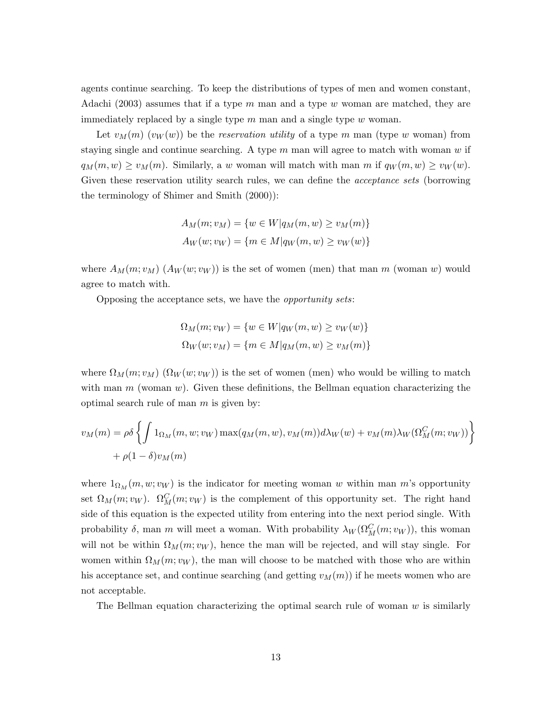agents continue searching. To keep the distributions of types of men and women constant, Adachi (2003) assumes that if a type m man and a type w woman are matched, they are immediately replaced by a single type  $m$  man and a single type  $w$  woman.

Let  $v_M(m)$   $(v_W(w))$  be the reservation utility of a type m man (type w woman) from staying single and continue searching. A type  $m$  man will agree to match with woman  $w$  if  $q_M(m, w) \geq v_M(m)$ . Similarly, a w woman will match with man m if  $q_W(m, w) \geq v_W(w)$ . Given these reservation utility search rules, we can define the *acceptance sets* (borrowing the terminology of Shimer and Smith (2000)):

$$
A_M(m; v_M) = \{w \in W | q_M(m, w) \ge v_M(m) \}
$$
  

$$
A_W(w; v_W) = \{m \in M | q_W(m, w) \ge v_W(w) \}
$$

where  $A_M(m; v_M)$   $(A_W(w; v_W))$  is the set of women (men) that man m (woman w) would agree to match with.

Opposing the acceptance sets, we have the opportunity sets:

$$
\Omega_M(m; v_W) = \{w \in W|q_W(m, w) \ge v_W(w)\}
$$
  

$$
\Omega_W(w; v_M) = \{m \in M|q_M(m, w) \ge v_M(m)\}
$$

where  $\Omega_M(m; v_M)$  ( $\Omega_W(w; v_W)$ ) is the set of women (men) who would be willing to match with man  $m$  (woman  $w$ ). Given these definitions, the Bellman equation characterizing the optimal search rule of man  $m$  is given by:

$$
v_M(m) = \rho \delta \left\{ \int 1_{\Omega_M}(m, w; v_W) \max(q_M(m, w), v_M(m)) d\lambda_W(w) + v_M(m) \lambda_W(\Omega_M^C(m; v_W)) \right\}
$$
  
+  $\rho(1 - \delta) v_M(m)$ 

where  $1_{\Omega_M}(m, w; v_W)$  is the indicator for meeting woman w within man m's opportunity set  $\Omega_M(m; v_W)$ .  $\Omega_M^C(m; v_W)$  is the complement of this opportunity set. The right hand side of this equation is the expected utility from entering into the next period single. With probability  $\delta$ , man m will meet a woman. With probability  $\lambda_W(\Omega_M^C(m; v_W))$ , this woman will not be within  $\Omega_M(m; v_W)$ , hence the man will be rejected, and will stay single. For women within  $\Omega_M(m; v_W)$ , the man will choose to be matched with those who are within his acceptance set, and continue searching (and getting  $v_M(m)$ ) if he meets women who are not acceptable.

The Bellman equation characterizing the optimal search rule of woman  $w$  is similarly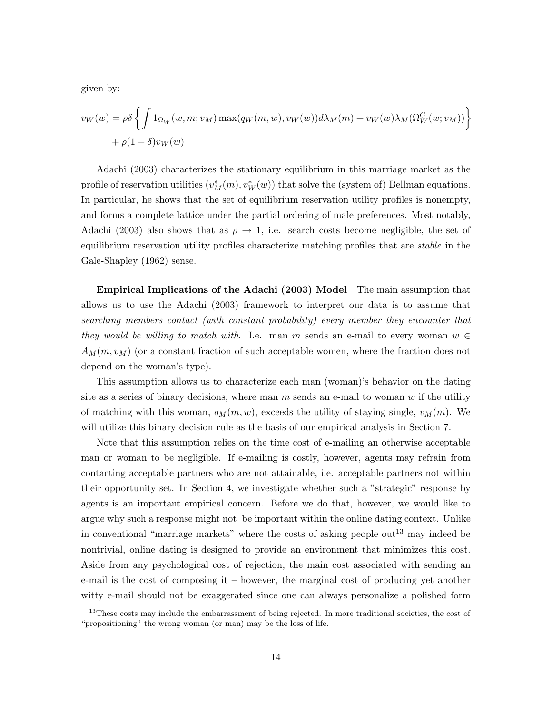given by:

$$
v_W(w) = \rho \delta \left\{ \int 1_{\Omega_W}(w, m; v_M) \max(q_W(m, w), v_W(w)) d\lambda_M(m) + v_W(w) \lambda_M(\Omega_W^C(w; v_M)) \right\}
$$
  
+  $\rho(1 - \delta) v_W(w)$ 

Adachi (2003) characterizes the stationary equilibrium in this marriage market as the profile of reservation utilities  $(v_M^*(m), v_W^*(w))$  that solve the (system of) Bellman equations. In particular, he shows that the set of equilibrium reservation utility profiles is nonempty, and forms a complete lattice under the partial ordering of male preferences. Most notably, Adachi (2003) also shows that as  $\rho \to 1$ , i.e. search costs become negligible, the set of equilibrium reservation utility profiles characterize matching profiles that are *stable* in the Gale-Shapley (1962) sense.

Empirical Implications of the Adachi (2003) Model The main assumption that allows us to use the Adachi (2003) framework to interpret our data is to assume that searching members contact (with constant probability) every member they encounter that they would be willing to match with. I.e. man m sends an e-mail to every woman  $w \in$  $A_M(m, v_M)$  (or a constant fraction of such acceptable women, where the fraction does not depend on the woman's type).

This assumption allows us to characterize each man (woman)'s behavior on the dating site as a series of binary decisions, where man  $m$  sends an e-mail to woman  $w$  if the utility of matching with this woman,  $q_M(m, w)$ , exceeds the utility of staying single,  $v_M(m)$ . We will utilize this binary decision rule as the basis of our empirical analysis in Section 7.

Note that this assumption relies on the time cost of e-mailing an otherwise acceptable man or woman to be negligible. If e-mailing is costly, however, agents may refrain from contacting acceptable partners who are not attainable, i.e. acceptable partners not within their opportunity set. In Section 4, we investigate whether such a "strategic" response by agents is an important empirical concern. Before we do that, however, we would like to argue why such a response might not be important within the online dating context. Unlike in conventional "marriage markets" where the costs of asking people out<sup>13</sup> may indeed be nontrivial, online dating is designed to provide an environment that minimizes this cost. Aside from any psychological cost of rejection, the main cost associated with sending an e-mail is the cost of composing it – however, the marginal cost of producing yet another witty e-mail should not be exaggerated since one can always personalize a polished form

<sup>&</sup>lt;sup>13</sup>These costs may include the embarrassment of being rejected. In more traditional societies, the cost of "propositioning" the wrong woman (or man) may be the loss of life.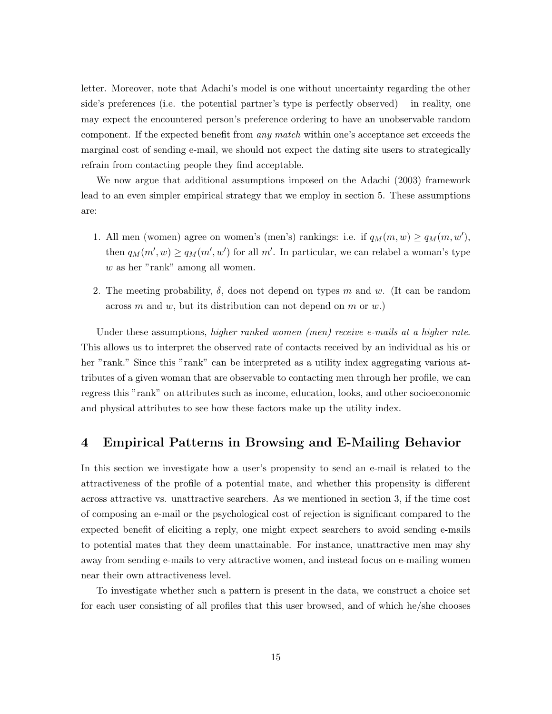letter. Moreover, note that Adachi's model is one without uncertainty regarding the other side's preferences (i.e. the potential partner's type is perfectly observed) – in reality, one may expect the encountered person's preference ordering to have an unobservable random component. If the expected benefit from any match within one's acceptance set exceeds the marginal cost of sending e-mail, we should not expect the dating site users to strategically refrain from contacting people they find acceptable.

We now argue that additional assumptions imposed on the Adachi (2003) framework lead to an even simpler empirical strategy that we employ in section 5. These assumptions are:

- 1. All men (women) agree on women's (men's) rankings: i.e. if  $q_M(m, w) \ge q_M(m, w')$ , then  $q_M(m', w) \ge q_M(m', w')$  for all m'. In particular, we can relabel a woman's type w as her "rank" among all women.
- 2. The meeting probability,  $\delta$ , does not depend on types m and w. (It can be random across m and w, but its distribution can not depend on m or  $w$ .)

Under these assumptions, higher ranked women (men) receive e-mails at a higher rate. This allows us to interpret the observed rate of contacts received by an individual as his or her "rank." Since this "rank" can be interpreted as a utility index aggregating various attributes of a given woman that are observable to contacting men through her profile, we can regress this "rank" on attributes such as income, education, looks, and other socioeconomic and physical attributes to see how these factors make up the utility index.

### 4 Empirical Patterns in Browsing and E-Mailing Behavior

In this section we investigate how a user's propensity to send an e-mail is related to the attractiveness of the profile of a potential mate, and whether this propensity is different across attractive vs. unattractive searchers. As we mentioned in section 3, if the time cost of composing an e-mail or the psychological cost of rejection is significant compared to the expected benefit of eliciting a reply, one might expect searchers to avoid sending e-mails to potential mates that they deem unattainable. For instance, unattractive men may shy away from sending e-mails to very attractive women, and instead focus on e-mailing women near their own attractiveness level.

To investigate whether such a pattern is present in the data, we construct a choice set for each user consisting of all profiles that this user browsed, and of which he/she chooses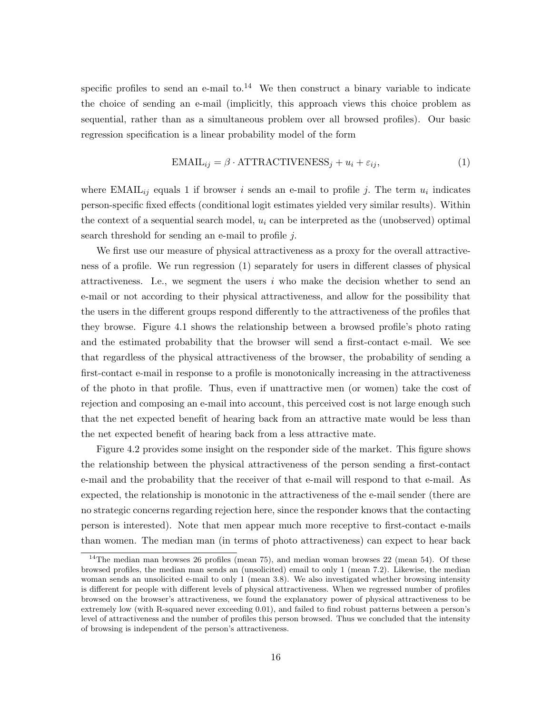specific profiles to send an e-mail to. $^{14}$  We then construct a binary variable to indicate the choice of sending an e-mail (implicitly, this approach views this choice problem as sequential, rather than as a simultaneous problem over all browsed profiles). Our basic regression specification is a linear probability model of the form

$$
EMAIL_{ij} = \beta \cdot ATTRACTIVENESS_j + u_i + \varepsilon_{ij},
$$
\n(1)

where EMAIL<sub>ij</sub> equals 1 if browser i sends an e-mail to profile j. The term  $u_i$  indicates person-specific fixed effects (conditional logit estimates yielded very similar results). Within the context of a sequential search model,  $u_i$  can be interpreted as the (unobserved) optimal search threshold for sending an e-mail to profile j.

We first use our measure of physical attractiveness as a proxy for the overall attractiveness of a profile. We run regression (1) separately for users in different classes of physical attractiveness. I.e., we segment the users  $i$  who make the decision whether to send an e-mail or not according to their physical attractiveness, and allow for the possibility that the users in the different groups respond differently to the attractiveness of the profiles that they browse. Figure 4.1 shows the relationship between a browsed profile's photo rating and the estimated probability that the browser will send a first-contact e-mail. We see that regardless of the physical attractiveness of the browser, the probability of sending a first-contact e-mail in response to a profile is monotonically increasing in the attractiveness of the photo in that profile. Thus, even if unattractive men (or women) take the cost of rejection and composing an e-mail into account, this perceived cost is not large enough such that the net expected benefit of hearing back from an attractive mate would be less than the net expected benefit of hearing back from a less attractive mate.

Figure 4.2 provides some insight on the responder side of the market. This figure shows the relationship between the physical attractiveness of the person sending a first-contact e-mail and the probability that the receiver of that e-mail will respond to that e-mail. As expected, the relationship is monotonic in the attractiveness of the e-mail sender (there are no strategic concerns regarding rejection here, since the responder knows that the contacting person is interested). Note that men appear much more receptive to first-contact e-mails than women. The median man (in terms of photo attractiveness) can expect to hear back

<sup>&</sup>lt;sup>14</sup>The median man browses 26 profiles (mean 75), and median woman browses 22 (mean 54). Of these browsed profiles, the median man sends an (unsolicited) email to only 1 (mean 7.2). Likewise, the median woman sends an unsolicited e-mail to only 1 (mean 3.8). We also investigated whether browsing intensity is different for people with different levels of physical attractiveness. When we regressed number of profiles browsed on the browser's attractiveness, we found the explanatory power of physical attractiveness to be extremely low (with R-squared never exceeding 0.01), and failed to find robust patterns between a person's level of attractiveness and the number of profiles this person browsed. Thus we concluded that the intensity of browsing is independent of the person's attractiveness.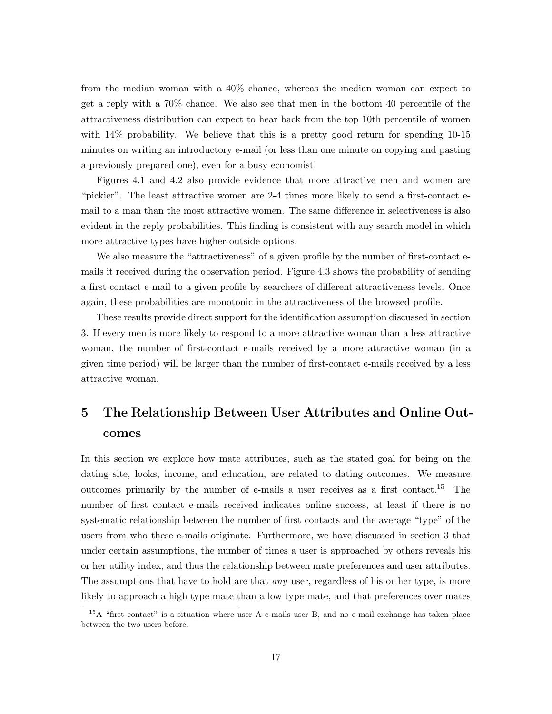from the median woman with a 40% chance, whereas the median woman can expect to get a reply with a 70% chance. We also see that men in the bottom 40 percentile of the attractiveness distribution can expect to hear back from the top 10th percentile of women with 14% probability. We believe that this is a pretty good return for spending 10-15 minutes on writing an introductory e-mail (or less than one minute on copying and pasting a previously prepared one), even for a busy economist!

Figures 4.1 and 4.2 also provide evidence that more attractive men and women are "pickier". The least attractive women are 2-4 times more likely to send a first-contact email to a man than the most attractive women. The same difference in selectiveness is also evident in the reply probabilities. This finding is consistent with any search model in which more attractive types have higher outside options.

We also measure the "attractiveness" of a given profile by the number of first-contact emails it received during the observation period. Figure 4.3 shows the probability of sending a first-contact e-mail to a given profile by searchers of different attractiveness levels. Once again, these probabilities are monotonic in the attractiveness of the browsed profile.

These results provide direct support for the identification assumption discussed in section 3. If every men is more likely to respond to a more attractive woman than a less attractive woman, the number of first-contact e-mails received by a more attractive woman (in a given time period) will be larger than the number of first-contact e-mails received by a less attractive woman.

## 5 The Relationship Between User Attributes and Online Outcomes

In this section we explore how mate attributes, such as the stated goal for being on the dating site, looks, income, and education, are related to dating outcomes. We measure outcomes primarily by the number of e-mails a user receives as a first contact.<sup>15</sup> The number of first contact e-mails received indicates online success, at least if there is no systematic relationship between the number of first contacts and the average "type" of the users from who these e-mails originate. Furthermore, we have discussed in section 3 that under certain assumptions, the number of times a user is approached by others reveals his or her utility index, and thus the relationship between mate preferences and user attributes. The assumptions that have to hold are that *any* user, regardless of his or her type, is more likely to approach a high type mate than a low type mate, and that preferences over mates

 $15A$  "first contact" is a situation where user A e-mails user B, and no e-mail exchange has taken place between the two users before.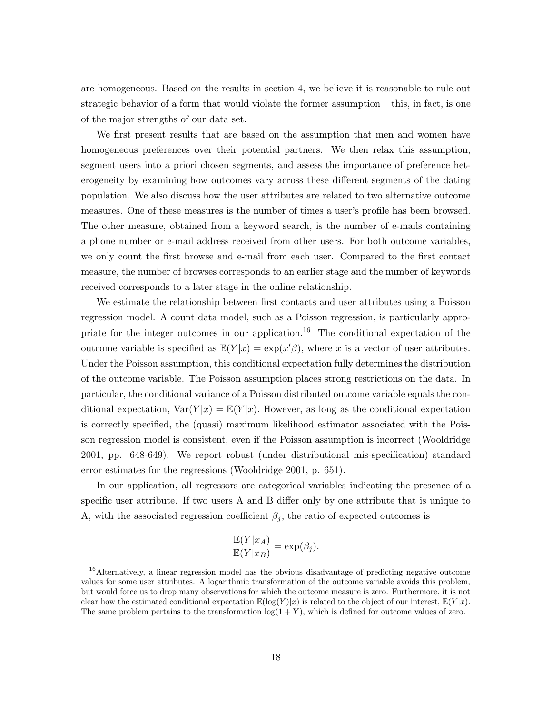are homogeneous. Based on the results in section 4, we believe it is reasonable to rule out strategic behavior of a form that would violate the former assumption – this, in fact, is one of the major strengths of our data set.

We first present results that are based on the assumption that men and women have homogeneous preferences over their potential partners. We then relax this assumption, segment users into a priori chosen segments, and assess the importance of preference heterogeneity by examining how outcomes vary across these different segments of the dating population. We also discuss how the user attributes are related to two alternative outcome measures. One of these measures is the number of times a user's profile has been browsed. The other measure, obtained from a keyword search, is the number of e-mails containing a phone number or e-mail address received from other users. For both outcome variables, we only count the first browse and e-mail from each user. Compared to the first contact measure, the number of browses corresponds to an earlier stage and the number of keywords received corresponds to a later stage in the online relationship.

We estimate the relationship between first contacts and user attributes using a Poisson regression model. A count data model, such as a Poisson regression, is particularly appropriate for the integer outcomes in our application.<sup>16</sup> The conditional expectation of the outcome variable is specified as  $\mathbb{E}(Y|x) = \exp(x'\beta)$ , where x is a vector of user attributes. Under the Poisson assumption, this conditional expectation fully determines the distribution of the outcome variable. The Poisson assumption places strong restrictions on the data. In particular, the conditional variance of a Poisson distributed outcome variable equals the conditional expectation,  $\text{Var}(Y|x) = \mathbb{E}(Y|x)$ . However, as long as the conditional expectation is correctly specified, the (quasi) maximum likelihood estimator associated with the Poisson regression model is consistent, even if the Poisson assumption is incorrect (Wooldridge 2001, pp. 648-649). We report robust (under distributional mis-specification) standard error estimates for the regressions (Wooldridge 2001, p. 651).

In our application, all regressors are categorical variables indicating the presence of a specific user attribute. If two users A and B differ only by one attribute that is unique to A, with the associated regression coefficient  $\beta_i$ , the ratio of expected outcomes is

$$
\frac{\mathbb{E}(Y|x_A)}{\mathbb{E}(Y|x_B)} = \exp(\beta_j).
$$

<sup>&</sup>lt;sup>16</sup>Alternatively, a linear regression model has the obvious disadvantage of predicting negative outcome values for some user attributes. A logarithmic transformation of the outcome variable avoids this problem, but would force us to drop many observations for which the outcome measure is zero. Furthermore, it is not clear how the estimated conditional expectation  $\mathbb{E}(\log(Y)|x)$  is related to the object of our interest,  $\mathbb{E}(Y|x)$ . The same problem pertains to the transformation  $log(1 + Y)$ , which is defined for outcome values of zero.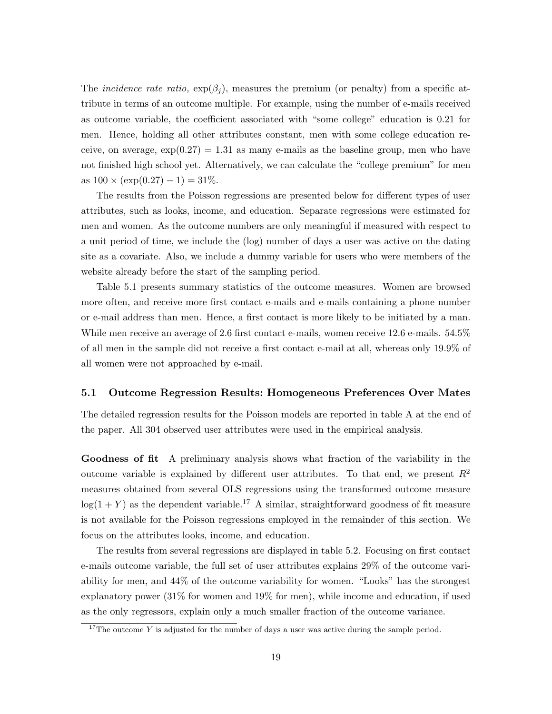The *incidence rate ratio*,  $\exp(\beta_i)$ , measures the premium (or penalty) from a specific attribute in terms of an outcome multiple. For example, using the number of e-mails received as outcome variable, the coefficient associated with "some college" education is 0.21 for men. Hence, holding all other attributes constant, men with some college education receive, on average,  $\exp(0.27) = 1.31$  as many e-mails as the baseline group, men who have not finished high school yet. Alternatively, we can calculate the "college premium" for men as  $100 \times (\exp(0.27) - 1) = 31\%.$ 

The results from the Poisson regressions are presented below for different types of user attributes, such as looks, income, and education. Separate regressions were estimated for men and women. As the outcome numbers are only meaningful if measured with respect to a unit period of time, we include the (log) number of days a user was active on the dating site as a covariate. Also, we include a dummy variable for users who were members of the website already before the start of the sampling period.

Table 5.1 presents summary statistics of the outcome measures. Women are browsed more often, and receive more first contact e-mails and e-mails containing a phone number or e-mail address than men. Hence, a first contact is more likely to be initiated by a man. While men receive an average of 2.6 first contact e-mails, women receive 12.6 e-mails. 54.5% of all men in the sample did not receive a first contact e-mail at all, whereas only 19.9% of all women were not approached by e-mail.

#### 5.1 Outcome Regression Results: Homogeneous Preferences Over Mates

The detailed regression results for the Poisson models are reported in table A at the end of the paper. All 304 observed user attributes were used in the empirical analysis.

Goodness of fit A preliminary analysis shows what fraction of the variability in the outcome variable is explained by different user attributes. To that end, we present  $R^2$ measures obtained from several OLS regressions using the transformed outcome measure  $log(1 + Y)$  as the dependent variable.<sup>17</sup> A similar, straightforward goodness of fit measure is not available for the Poisson regressions employed in the remainder of this section. We focus on the attributes looks, income, and education.

The results from several regressions are displayed in table 5.2. Focusing on first contact e-mails outcome variable, the full set of user attributes explains 29% of the outcome variability for men, and 44% of the outcome variability for women. "Looks" has the strongest explanatory power (31% for women and 19% for men), while income and education, if used as the only regressors, explain only a much smaller fraction of the outcome variance.

<sup>&</sup>lt;sup>17</sup>The outcome Y is adjusted for the number of days a user was active during the sample period.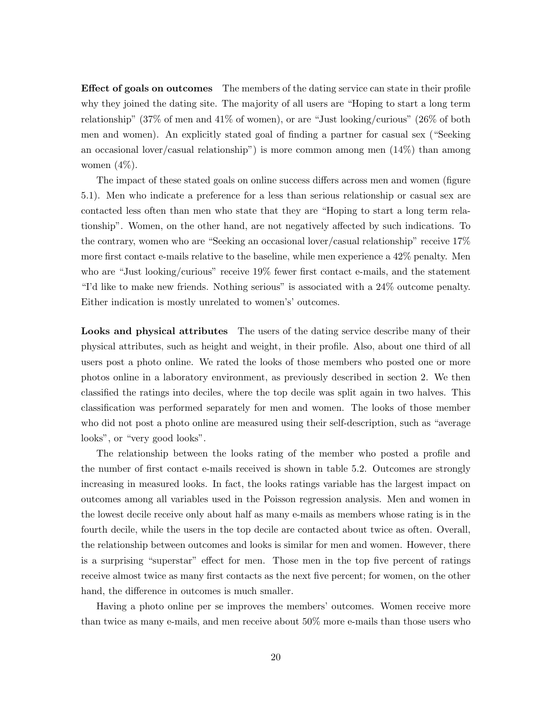Effect of goals on outcomes The members of the dating service can state in their profile why they joined the dating site. The majority of all users are "Hoping to start a long term relationship" (37% of men and 41% of women), or are "Just looking/curious" (26% of both men and women). An explicitly stated goal of finding a partner for casual sex ("Seeking an occasional lover/casual relationship") is more common among men  $(14\%)$  than among women  $(4\%)$ .

The impact of these stated goals on online success differs across men and women (figure 5.1). Men who indicate a preference for a less than serious relationship or casual sex are contacted less often than men who state that they are "Hoping to start a long term relationship". Women, on the other hand, are not negatively affected by such indications. To the contrary, women who are "Seeking an occasional lover/casual relationship" receive 17% more first contact e-mails relative to the baseline, while men experience a 42% penalty. Men who are "Just looking/curious" receive 19% fewer first contact e-mails, and the statement "I'd like to make new friends. Nothing serious" is associated with a 24% outcome penalty. Either indication is mostly unrelated to women's' outcomes.

Looks and physical attributes The users of the dating service describe many of their physical attributes, such as height and weight, in their profile. Also, about one third of all users post a photo online. We rated the looks of those members who posted one or more photos online in a laboratory environment, as previously described in section 2. We then classified the ratings into deciles, where the top decile was split again in two halves. This classification was performed separately for men and women. The looks of those member who did not post a photo online are measured using their self-description, such as "average looks", or "very good looks".

The relationship between the looks rating of the member who posted a profile and the number of first contact e-mails received is shown in table 5.2. Outcomes are strongly increasing in measured looks. In fact, the looks ratings variable has the largest impact on outcomes among all variables used in the Poisson regression analysis. Men and women in the lowest decile receive only about half as many e-mails as members whose rating is in the fourth decile, while the users in the top decile are contacted about twice as often. Overall, the relationship between outcomes and looks is similar for men and women. However, there is a surprising "superstar" effect for men. Those men in the top five percent of ratings receive almost twice as many first contacts as the next five percent; for women, on the other hand, the difference in outcomes is much smaller.

Having a photo online per se improves the members' outcomes. Women receive more than twice as many e-mails, and men receive about 50% more e-mails than those users who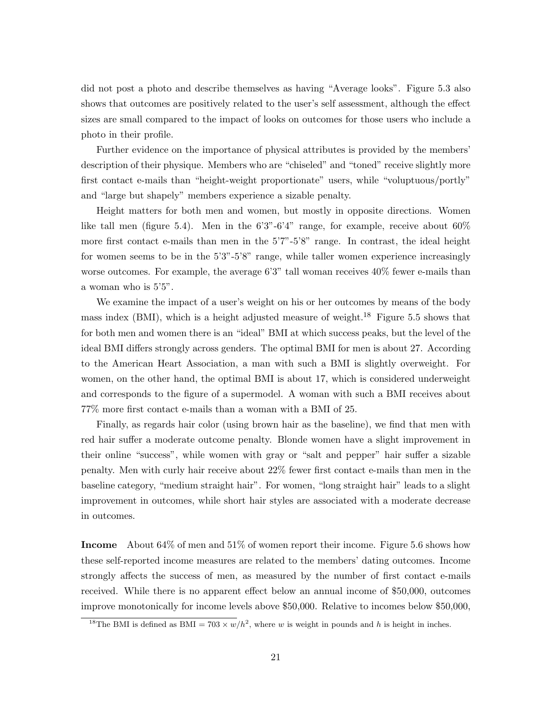did not post a photo and describe themselves as having "Average looks". Figure 5.3 also shows that outcomes are positively related to the user's self assessment, although the effect sizes are small compared to the impact of looks on outcomes for those users who include a photo in their profile.

Further evidence on the importance of physical attributes is provided by the members' description of their physique. Members who are "chiseled" and "toned" receive slightly more first contact e-mails than "height-weight proportionate" users, while "voluptuous/portly" and "large but shapely" members experience a sizable penalty.

Height matters for both men and women, but mostly in opposite directions. Women like tall men (figure 5.4). Men in the  $6'3''-6'4''$  range, for example, receive about  $60\%$ more first contact e-mails than men in the 5'7"-5'8" range. In contrast, the ideal height for women seems to be in the 5'3"-5'8" range, while taller women experience increasingly worse outcomes. For example, the average 6'3" tall woman receives  $40\%$  fewer e-mails than a woman who is 5'5".

We examine the impact of a user's weight on his or her outcomes by means of the body mass index (BMI), which is a height adjusted measure of weight.<sup>18</sup> Figure 5.5 shows that for both men and women there is an "ideal" BMI at which success peaks, but the level of the ideal BMI differs strongly across genders. The optimal BMI for men is about 27. According to the American Heart Association, a man with such a BMI is slightly overweight. For women, on the other hand, the optimal BMI is about 17, which is considered underweight and corresponds to the figure of a supermodel. A woman with such a BMI receives about 77% more first contact e-mails than a woman with a BMI of 25.

Finally, as regards hair color (using brown hair as the baseline), we find that men with red hair suffer a moderate outcome penalty. Blonde women have a slight improvement in their online "success", while women with gray or "salt and pepper" hair suffer a sizable penalty. Men with curly hair receive about 22% fewer first contact e-mails than men in the baseline category, "medium straight hair". For women, "long straight hair" leads to a slight improvement in outcomes, while short hair styles are associated with a moderate decrease in outcomes.

Income About 64% of men and 51% of women report their income. Figure 5.6 shows how these self-reported income measures are related to the members' dating outcomes. Income strongly affects the success of men, as measured by the number of first contact e-mails received. While there is no apparent effect below an annual income of \$50,000, outcomes improve monotonically for income levels above \$50,000. Relative to incomes below \$50,000,

<sup>&</sup>lt;sup>18</sup>The BMI is defined as BMI =  $703 \times w/h^2$ , where w is weight in pounds and h is height in inches.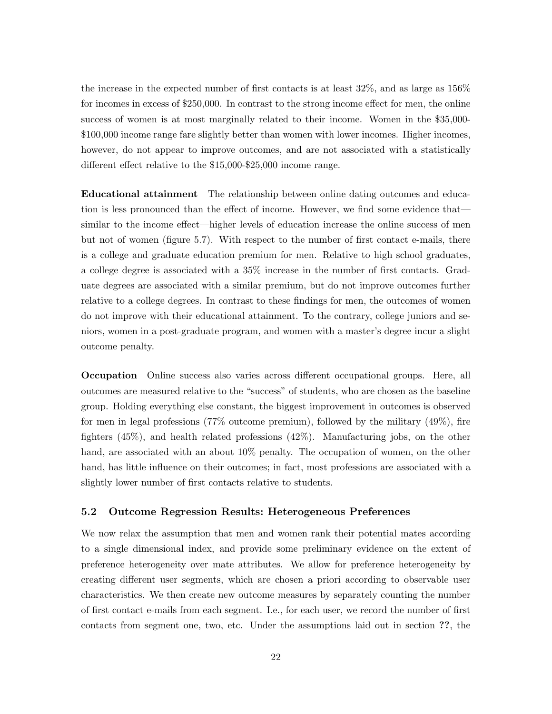the increase in the expected number of first contacts is at least 32%, and as large as 156% for incomes in excess of \$250,000. In contrast to the strong income effect for men, the online success of women is at most marginally related to their income. Women in the \$35,000- \$100,000 income range fare slightly better than women with lower incomes. Higher incomes, however, do not appear to improve outcomes, and are not associated with a statistically different effect relative to the \$15,000-\$25,000 income range.

Educational attainment The relationship between online dating outcomes and education is less pronounced than the effect of income. However, we find some evidence that similar to the income effect—higher levels of education increase the online success of men but not of women (figure 5.7). With respect to the number of first contact e-mails, there is a college and graduate education premium for men. Relative to high school graduates, a college degree is associated with a 35% increase in the number of first contacts. Graduate degrees are associated with a similar premium, but do not improve outcomes further relative to a college degrees. In contrast to these findings for men, the outcomes of women do not improve with their educational attainment. To the contrary, college juniors and seniors, women in a post-graduate program, and women with a master's degree incur a slight outcome penalty.

Occupation Online success also varies across different occupational groups. Here, all outcomes are measured relative to the "success" of students, who are chosen as the baseline group. Holding everything else constant, the biggest improvement in outcomes is observed for men in legal professions (77% outcome premium), followed by the military (49%), fire fighters (45%), and health related professions (42%). Manufacturing jobs, on the other hand, are associated with an about  $10\%$  penalty. The occupation of women, on the other hand, has little influence on their outcomes; in fact, most professions are associated with a slightly lower number of first contacts relative to students.

#### 5.2 Outcome Regression Results: Heterogeneous Preferences

We now relax the assumption that men and women rank their potential mates according to a single dimensional index, and provide some preliminary evidence on the extent of preference heterogeneity over mate attributes. We allow for preference heterogeneity by creating different user segments, which are chosen a priori according to observable user characteristics. We then create new outcome measures by separately counting the number of first contact e-mails from each segment. I.e., for each user, we record the number of first contacts from segment one, two, etc. Under the assumptions laid out in section ??, the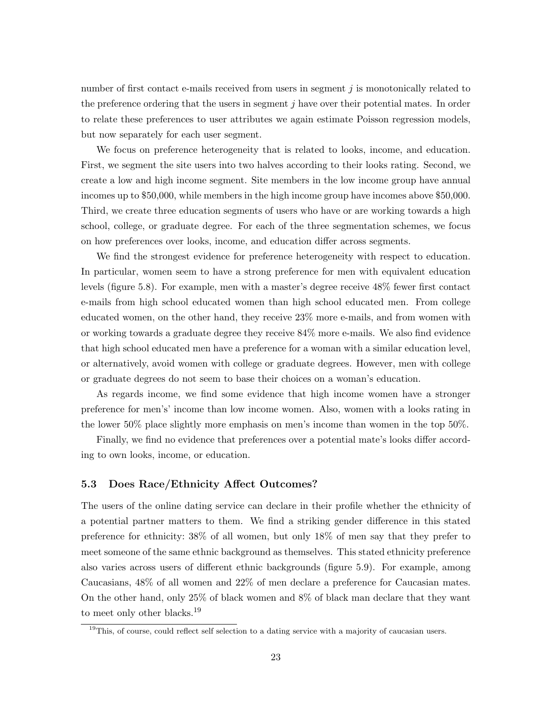number of first contact e-mails received from users in segment  $j$  is monotonically related to the preference ordering that the users in segment  $j$  have over their potential mates. In order to relate these preferences to user attributes we again estimate Poisson regression models, but now separately for each user segment.

We focus on preference heterogeneity that is related to looks, income, and education. First, we segment the site users into two halves according to their looks rating. Second, we create a low and high income segment. Site members in the low income group have annual incomes up to \$50,000, while members in the high income group have incomes above \$50,000. Third, we create three education segments of users who have or are working towards a high school, college, or graduate degree. For each of the three segmentation schemes, we focus on how preferences over looks, income, and education differ across segments.

We find the strongest evidence for preference heterogeneity with respect to education. In particular, women seem to have a strong preference for men with equivalent education levels (figure 5.8). For example, men with a master's degree receive 48% fewer first contact e-mails from high school educated women than high school educated men. From college educated women, on the other hand, they receive 23% more e-mails, and from women with or working towards a graduate degree they receive 84% more e-mails. We also find evidence that high school educated men have a preference for a woman with a similar education level, or alternatively, avoid women with college or graduate degrees. However, men with college or graduate degrees do not seem to base their choices on a woman's education.

As regards income, we find some evidence that high income women have a stronger preference for men's' income than low income women. Also, women with a looks rating in the lower 50% place slightly more emphasis on men's income than women in the top 50%.

Finally, we find no evidence that preferences over a potential mate's looks differ according to own looks, income, or education.

#### 5.3 Does Race/Ethnicity Affect Outcomes?

The users of the online dating service can declare in their profile whether the ethnicity of a potential partner matters to them. We find a striking gender difference in this stated preference for ethnicity: 38% of all women, but only 18% of men say that they prefer to meet someone of the same ethnic background as themselves. This stated ethnicity preference also varies across users of different ethnic backgrounds (figure 5.9). For example, among Caucasians, 48% of all women and 22% of men declare a preference for Caucasian mates. On the other hand, only 25% of black women and 8% of black man declare that they want to meet only other blacks.<sup>19</sup>

<sup>&</sup>lt;sup>19</sup>This, of course, could reflect self selection to a dating service with a majority of caucasian users.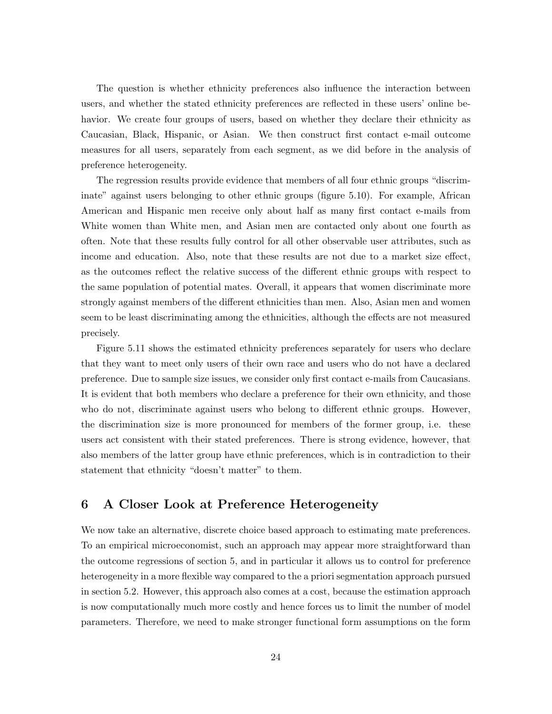The question is whether ethnicity preferences also influence the interaction between users, and whether the stated ethnicity preferences are reflected in these users' online behavior. We create four groups of users, based on whether they declare their ethnicity as Caucasian, Black, Hispanic, or Asian. We then construct first contact e-mail outcome measures for all users, separately from each segment, as we did before in the analysis of preference heterogeneity.

The regression results provide evidence that members of all four ethnic groups "discriminate" against users belonging to other ethnic groups (figure 5.10). For example, African American and Hispanic men receive only about half as many first contact e-mails from White women than White men, and Asian men are contacted only about one fourth as often. Note that these results fully control for all other observable user attributes, such as income and education. Also, note that these results are not due to a market size effect, as the outcomes reflect the relative success of the different ethnic groups with respect to the same population of potential mates. Overall, it appears that women discriminate more strongly against members of the different ethnicities than men. Also, Asian men and women seem to be least discriminating among the ethnicities, although the effects are not measured precisely.

Figure 5.11 shows the estimated ethnicity preferences separately for users who declare that they want to meet only users of their own race and users who do not have a declared preference. Due to sample size issues, we consider only first contact e-mails from Caucasians. It is evident that both members who declare a preference for their own ethnicity, and those who do not, discriminate against users who belong to different ethnic groups. However, the discrimination size is more pronounced for members of the former group, i.e. these users act consistent with their stated preferences. There is strong evidence, however, that also members of the latter group have ethnic preferences, which is in contradiction to their statement that ethnicity "doesn't matter" to them.

### 6 A Closer Look at Preference Heterogeneity

We now take an alternative, discrete choice based approach to estimating mate preferences. To an empirical microeconomist, such an approach may appear more straightforward than the outcome regressions of section 5, and in particular it allows us to control for preference heterogeneity in a more flexible way compared to the a priori segmentation approach pursued in section 5.2. However, this approach also comes at a cost, because the estimation approach is now computationally much more costly and hence forces us to limit the number of model parameters. Therefore, we need to make stronger functional form assumptions on the form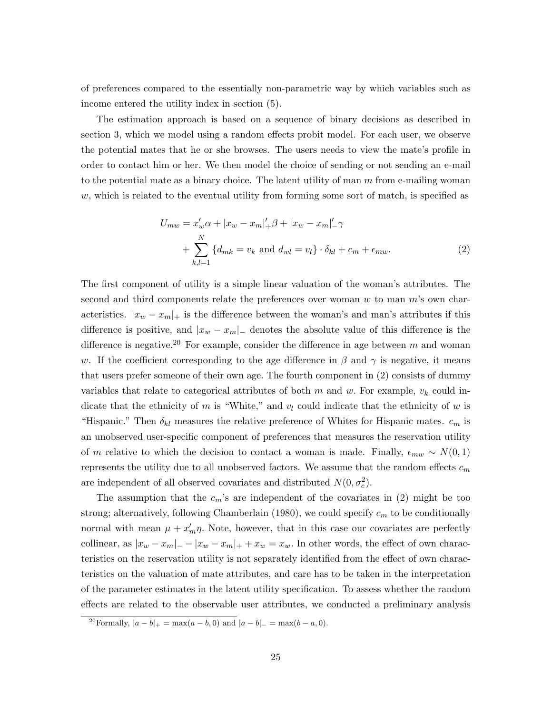of preferences compared to the essentially non-parametric way by which variables such as income entered the utility index in section (5).

The estimation approach is based on a sequence of binary decisions as described in section 3, which we model using a random effects probit model. For each user, we observe the potential mates that he or she browses. The users needs to view the mate's profile in order to contact him or her. We then model the choice of sending or not sending an e-mail to the potential mate as a binary choice. The latent utility of man m from e-mailing woman  $w$ , which is related to the eventual utility from forming some sort of match, is specified as

$$
U_{mw} = x_w' \alpha + |x_w - x_m|_+' \beta + |x_w - x_m|_-' \gamma
$$
  
+ 
$$
\sum_{k,l=1}^N \{d_{mk} = v_k \text{ and } d_{wl} = v_l\} \cdot \delta_{kl} + c_m + \epsilon_{mw}.
$$
 (2)

The first component of utility is a simple linear valuation of the woman's attributes. The second and third components relate the preferences over woman  $w$  to man  $m$ 's own characteristics.  $|x_w - x_m|_+$  is the difference between the woman's and man's attributes if this difference is positive, and  $|x_w - x_m|$  denotes the absolute value of this difference is the difference is negative.<sup>20</sup> For example, consider the difference in age between m and woman w. If the coefficient corresponding to the age difference in  $\beta$  and  $\gamma$  is negative, it means that users prefer someone of their own age. The fourth component in (2) consists of dummy variables that relate to categorical attributes of both  $m$  and  $w$ . For example,  $v_k$  could indicate that the ethnicity of m is "White," and  $v_l$  could indicate that the ethnicity of w is "Hispanic." Then  $\delta_{kl}$  measures the relative preference of Whites for Hispanic mates.  $c_m$  is an unobserved user-specific component of preferences that measures the reservation utility of m relative to which the decision to contact a woman is made. Finally,  $\epsilon_{mw} \sim N(0, 1)$ represents the utility due to all unobserved factors. We assume that the random effects  $c_m$ are independent of all observed covariates and distributed  $N(0, \sigma_c^2)$ .

The assumption that the  $c_m$ 's are independent of the covariates in (2) might be too strong; alternatively, following Chamberlain (1980), we could specify  $c_m$  to be conditionally normal with mean  $\mu + x'_m \eta$ . Note, however, that in this case our covariates are perfectly collinear, as  $|x_w - x_m| = -|x_w - x_m| + + x_w = x_w$ . In other words, the effect of own characteristics on the reservation utility is not separately identified from the effect of own characteristics on the valuation of mate attributes, and care has to be taken in the interpretation of the parameter estimates in the latent utility specification. To assess whether the random effects are related to the observable user attributes, we conducted a preliminary analysis

<sup>&</sup>lt;sup>20</sup>Formally,  $|a - b|_{+} = \max(a - b, 0)$  and  $|a - b|_{-} = \max(b - a, 0)$ .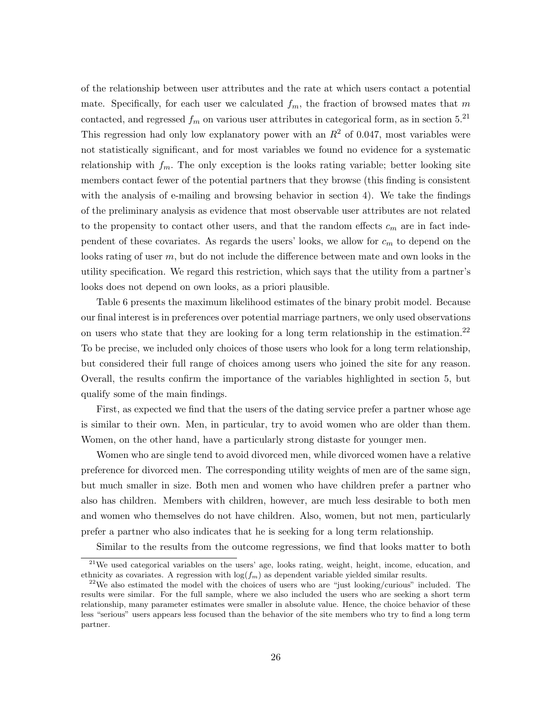of the relationship between user attributes and the rate at which users contact a potential mate. Specifically, for each user we calculated  $f_m$ , the fraction of browsed mates that m contacted, and regressed  $f_m$  on various user attributes in categorical form, as in section 5.<sup>21</sup> This regression had only low explanatory power with an  $R^2$  of 0.047, most variables were not statistically significant, and for most variables we found no evidence for a systematic relationship with  $f_m$ . The only exception is the looks rating variable; better looking site members contact fewer of the potential partners that they browse (this finding is consistent with the analysis of e-mailing and browsing behavior in section 4). We take the findings of the preliminary analysis as evidence that most observable user attributes are not related to the propensity to contact other users, and that the random effects  $c_m$  are in fact independent of these covariates. As regards the users' looks, we allow for  $c_m$  to depend on the looks rating of user m, but do not include the difference between mate and own looks in the utility specification. We regard this restriction, which says that the utility from a partner's looks does not depend on own looks, as a priori plausible.

Table 6 presents the maximum likelihood estimates of the binary probit model. Because our final interest is in preferences over potential marriage partners, we only used observations on users who state that they are looking for a long term relationship in the estimation.<sup>22</sup> To be precise, we included only choices of those users who look for a long term relationship, but considered their full range of choices among users who joined the site for any reason. Overall, the results confirm the importance of the variables highlighted in section 5, but qualify some of the main findings.

First, as expected we find that the users of the dating service prefer a partner whose age is similar to their own. Men, in particular, try to avoid women who are older than them. Women, on the other hand, have a particularly strong distaste for younger men.

Women who are single tend to avoid divorced men, while divorced women have a relative preference for divorced men. The corresponding utility weights of men are of the same sign, but much smaller in size. Both men and women who have children prefer a partner who also has children. Members with children, however, are much less desirable to both men and women who themselves do not have children. Also, women, but not men, particularly prefer a partner who also indicates that he is seeking for a long term relationship.

Similar to the results from the outcome regressions, we find that looks matter to both

<sup>21</sup>We used categorical variables on the users' age, looks rating, weight, height, income, education, and ethnicity as covariates. A regression with  $log(f_m)$  as dependent variable yielded similar results.

<sup>&</sup>lt;sup>22</sup>We also estimated the model with the choices of users who are "just looking/curious" included. The results were similar. For the full sample, where we also included the users who are seeking a short term relationship, many parameter estimates were smaller in absolute value. Hence, the choice behavior of these less "serious" users appears less focused than the behavior of the site members who try to find a long term partner.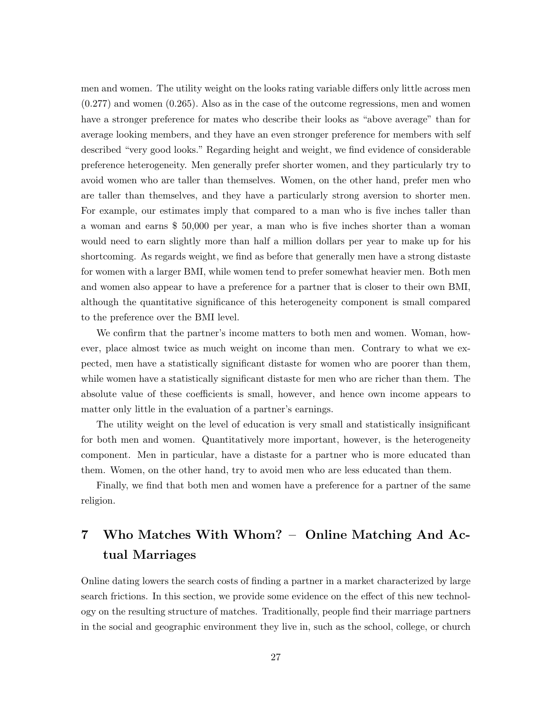men and women. The utility weight on the looks rating variable differs only little across men (0.277) and women (0.265). Also as in the case of the outcome regressions, men and women have a stronger preference for mates who describe their looks as "above average" than for average looking members, and they have an even stronger preference for members with self described "very good looks." Regarding height and weight, we find evidence of considerable preference heterogeneity. Men generally prefer shorter women, and they particularly try to avoid women who are taller than themselves. Women, on the other hand, prefer men who are taller than themselves, and they have a particularly strong aversion to shorter men. For example, our estimates imply that compared to a man who is five inches taller than a woman and earns \$ 50,000 per year, a man who is five inches shorter than a woman would need to earn slightly more than half a million dollars per year to make up for his shortcoming. As regards weight, we find as before that generally men have a strong distaste for women with a larger BMI, while women tend to prefer somewhat heavier men. Both men and women also appear to have a preference for a partner that is closer to their own BMI, although the quantitative significance of this heterogeneity component is small compared to the preference over the BMI level.

We confirm that the partner's income matters to both men and women. Woman, however, place almost twice as much weight on income than men. Contrary to what we expected, men have a statistically significant distaste for women who are poorer than them, while women have a statistically significant distaste for men who are richer than them. The absolute value of these coefficients is small, however, and hence own income appears to matter only little in the evaluation of a partner's earnings.

The utility weight on the level of education is very small and statistically insignificant for both men and women. Quantitatively more important, however, is the heterogeneity component. Men in particular, have a distaste for a partner who is more educated than them. Women, on the other hand, try to avoid men who are less educated than them.

Finally, we find that both men and women have a preference for a partner of the same religion.

## 7 Who Matches With Whom? – Online Matching And Actual Marriages

Online dating lowers the search costs of finding a partner in a market characterized by large search frictions. In this section, we provide some evidence on the effect of this new technology on the resulting structure of matches. Traditionally, people find their marriage partners in the social and geographic environment they live in, such as the school, college, or church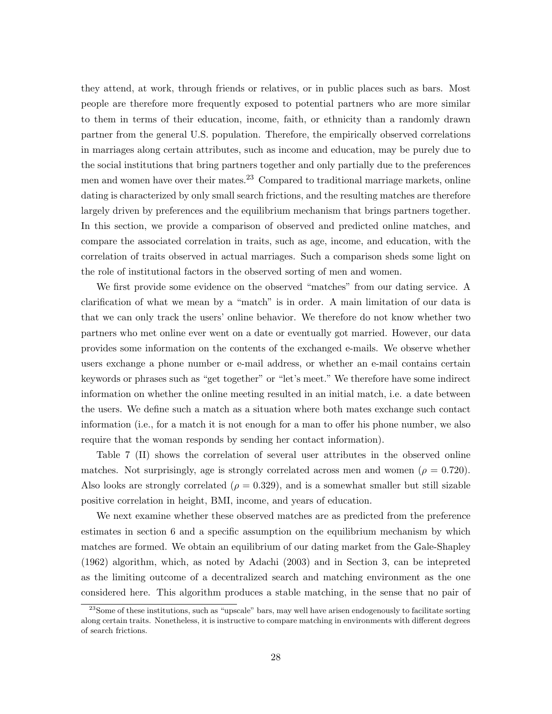they attend, at work, through friends or relatives, or in public places such as bars. Most people are therefore more frequently exposed to potential partners who are more similar to them in terms of their education, income, faith, or ethnicity than a randomly drawn partner from the general U.S. population. Therefore, the empirically observed correlations in marriages along certain attributes, such as income and education, may be purely due to the social institutions that bring partners together and only partially due to the preferences men and women have over their mates.<sup>23</sup> Compared to traditional marriage markets, online dating is characterized by only small search frictions, and the resulting matches are therefore largely driven by preferences and the equilibrium mechanism that brings partners together. In this section, we provide a comparison of observed and predicted online matches, and compare the associated correlation in traits, such as age, income, and education, with the correlation of traits observed in actual marriages. Such a comparison sheds some light on the role of institutional factors in the observed sorting of men and women.

We first provide some evidence on the observed "matches" from our dating service. A clarification of what we mean by a "match" is in order. A main limitation of our data is that we can only track the users' online behavior. We therefore do not know whether two partners who met online ever went on a date or eventually got married. However, our data provides some information on the contents of the exchanged e-mails. We observe whether users exchange a phone number or e-mail address, or whether an e-mail contains certain keywords or phrases such as "get together" or "let's meet." We therefore have some indirect information on whether the online meeting resulted in an initial match, i.e. a date between the users. We define such a match as a situation where both mates exchange such contact information (i.e., for a match it is not enough for a man to offer his phone number, we also require that the woman responds by sending her contact information).

Table 7 (II) shows the correlation of several user attributes in the observed online matches. Not surprisingly, age is strongly correlated across men and women ( $\rho = 0.720$ ). Also looks are strongly correlated ( $\rho = 0.329$ ), and is a somewhat smaller but still sizable positive correlation in height, BMI, income, and years of education.

We next examine whether these observed matches are as predicted from the preference estimates in section 6 and a specific assumption on the equilibrium mechanism by which matches are formed. We obtain an equilibrium of our dating market from the Gale-Shapley (1962) algorithm, which, as noted by Adachi (2003) and in Section 3, can be intepreted as the limiting outcome of a decentralized search and matching environment as the one considered here. This algorithm produces a stable matching, in the sense that no pair of

<sup>&</sup>lt;sup>23</sup>Some of these institutions, such as "upscale" bars, may well have arisen endogenously to facilitate sorting along certain traits. Nonetheless, it is instructive to compare matching in environments with different degrees of search frictions.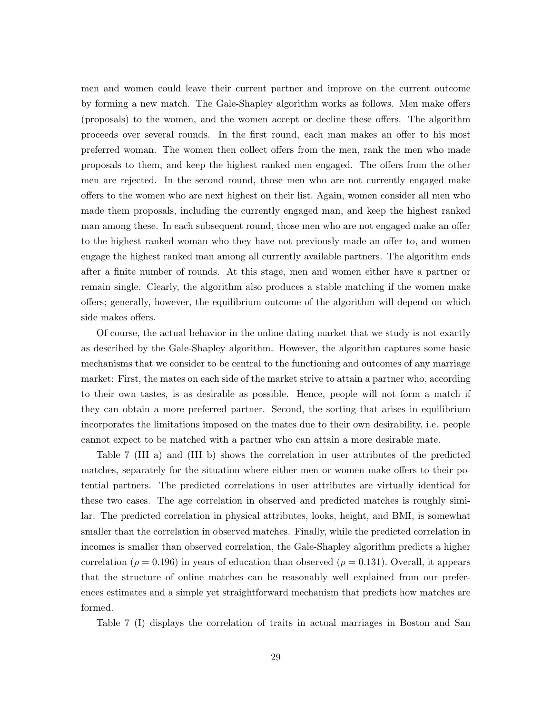men and women could leave their current partner and improve on the current outcome by forming a new match. The Gale-Shapley algorithm works as follows. Men make offers (proposals) to the women, and the women accept or decline these offers. The algorithm proceeds over several rounds. In the first round, each man makes an offer to his most preferred woman. The women then collect offers from the men, rank the men who made proposals to them, and keep the highest ranked men engaged. The offers from the other men are rejected. In the second round, those men who are not currently engaged make offers to the women who are next highest on their list. Again, women consider all men who made them proposals, including the currently engaged man, and keep the highest ranked man among these. In each subsequent round, those men who are not engaged make an offer to the highest ranked woman who they have not previously made an offer to, and women engage the highest ranked man among all currently available partners. The algorithm ends after a finite number of rounds. At this stage, men and women either have a partner or remain single. Clearly, the algorithm also produces a stable matching if the women make offers; generally, however, the equilibrium outcome of the algorithm will depend on which side makes offers.

Of course, the actual behavior in the online dating market that we study is not exactly as described by the Gale-Shapley algorithm. However, the algorithm captures some basic mechanisms that we consider to be central to the functioning and outcomes of any marriage market: First, the mates on each side of the market strive to attain a partner who, according to their own tastes, is as desirable as possible. Hence, people will not form a match if they can obtain a more preferred partner. Second, the sorting that arises in equilibrium incorporates the limitations imposed on the mates due to their own desirability, i.e. people cannot expect to be matched with a partner who can attain a more desirable mate.

Table 7 (III a) and (III b) shows the correlation in user attributes of the predicted matches, separately for the situation where either men or women make offers to their potential partners. The predicted correlations in user attributes are virtually identical for these two cases. The age correlation in observed and predicted matches is roughly similar. The predicted correlation in physical attributes, looks, height, and BMI, is somewhat smaller than the correlation in observed matches. Finally, while the predicted correlation in incomes is smaller than observed correlation, the Gale-Shapley algorithm predicts a higher correlation ( $\rho = 0.196$ ) in years of education than observed ( $\rho = 0.131$ ). Overall, it appears that the structure of online matches can be reasonably well explained from our preferences estimates and a simple yet straightforward mechanism that predicts how matches are formed.

Table 7 (I) displays the correlation of traits in actual marriages in Boston and San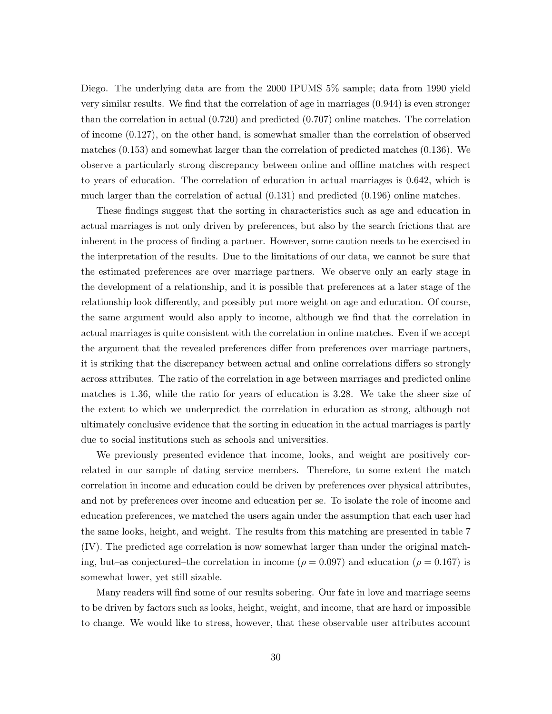Diego. The underlying data are from the 2000 IPUMS 5% sample; data from 1990 yield very similar results. We find that the correlation of age in marriages (0.944) is even stronger than the correlation in actual (0.720) and predicted (0.707) online matches. The correlation of income (0.127), on the other hand, is somewhat smaller than the correlation of observed matches (0.153) and somewhat larger than the correlation of predicted matches (0.136). We observe a particularly strong discrepancy between online and offline matches with respect to years of education. The correlation of education in actual marriages is 0.642, which is much larger than the correlation of actual (0.131) and predicted (0.196) online matches.

These findings suggest that the sorting in characteristics such as age and education in actual marriages is not only driven by preferences, but also by the search frictions that are inherent in the process of finding a partner. However, some caution needs to be exercised in the interpretation of the results. Due to the limitations of our data, we cannot be sure that the estimated preferences are over marriage partners. We observe only an early stage in the development of a relationship, and it is possible that preferences at a later stage of the relationship look differently, and possibly put more weight on age and education. Of course, the same argument would also apply to income, although we find that the correlation in actual marriages is quite consistent with the correlation in online matches. Even if we accept the argument that the revealed preferences differ from preferences over marriage partners, it is striking that the discrepancy between actual and online correlations differs so strongly across attributes. The ratio of the correlation in age between marriages and predicted online matches is 1.36, while the ratio for years of education is 3.28. We take the sheer size of the extent to which we underpredict the correlation in education as strong, although not ultimately conclusive evidence that the sorting in education in the actual marriages is partly due to social institutions such as schools and universities.

We previously presented evidence that income, looks, and weight are positively correlated in our sample of dating service members. Therefore, to some extent the match correlation in income and education could be driven by preferences over physical attributes, and not by preferences over income and education per se. To isolate the role of income and education preferences, we matched the users again under the assumption that each user had the same looks, height, and weight. The results from this matching are presented in table 7 (IV). The predicted age correlation is now somewhat larger than under the original matching, but–as conjectured–the correlation in income ( $\rho = 0.097$ ) and education ( $\rho = 0.167$ ) is somewhat lower, yet still sizable.

Many readers will find some of our results sobering. Our fate in love and marriage seems to be driven by factors such as looks, height, weight, and income, that are hard or impossible to change. We would like to stress, however, that these observable user attributes account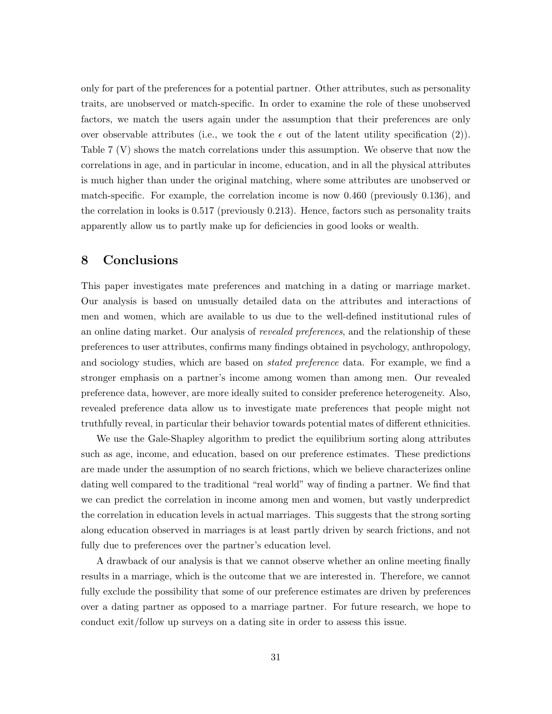only for part of the preferences for a potential partner. Other attributes, such as personality traits, are unobserved or match-specific. In order to examine the role of these unobserved factors, we match the users again under the assumption that their preferences are only over observable attributes (i.e., we took the  $\epsilon$  out of the latent utility specification (2)). Table 7 (V) shows the match correlations under this assumption. We observe that now the correlations in age, and in particular in income, education, and in all the physical attributes is much higher than under the original matching, where some attributes are unobserved or match-specific. For example, the correlation income is now 0.460 (previously 0.136), and the correlation in looks is 0.517 (previously 0.213). Hence, factors such as personality traits apparently allow us to partly make up for deficiencies in good looks or wealth.

### 8 Conclusions

This paper investigates mate preferences and matching in a dating or marriage market. Our analysis is based on unusually detailed data on the attributes and interactions of men and women, which are available to us due to the well-defined institutional rules of an online dating market. Our analysis of *revealed preferences*, and the relationship of these preferences to user attributes, confirms many findings obtained in psychology, anthropology, and sociology studies, which are based on *stated preference* data. For example, we find a stronger emphasis on a partner's income among women than among men. Our revealed preference data, however, are more ideally suited to consider preference heterogeneity. Also, revealed preference data allow us to investigate mate preferences that people might not truthfully reveal, in particular their behavior towards potential mates of different ethnicities.

We use the Gale-Shapley algorithm to predict the equilibrium sorting along attributes such as age, income, and education, based on our preference estimates. These predictions are made under the assumption of no search frictions, which we believe characterizes online dating well compared to the traditional "real world" way of finding a partner. We find that we can predict the correlation in income among men and women, but vastly underpredict the correlation in education levels in actual marriages. This suggests that the strong sorting along education observed in marriages is at least partly driven by search frictions, and not fully due to preferences over the partner's education level.

A drawback of our analysis is that we cannot observe whether an online meeting finally results in a marriage, which is the outcome that we are interested in. Therefore, we cannot fully exclude the possibility that some of our preference estimates are driven by preferences over a dating partner as opposed to a marriage partner. For future research, we hope to conduct exit/follow up surveys on a dating site in order to assess this issue.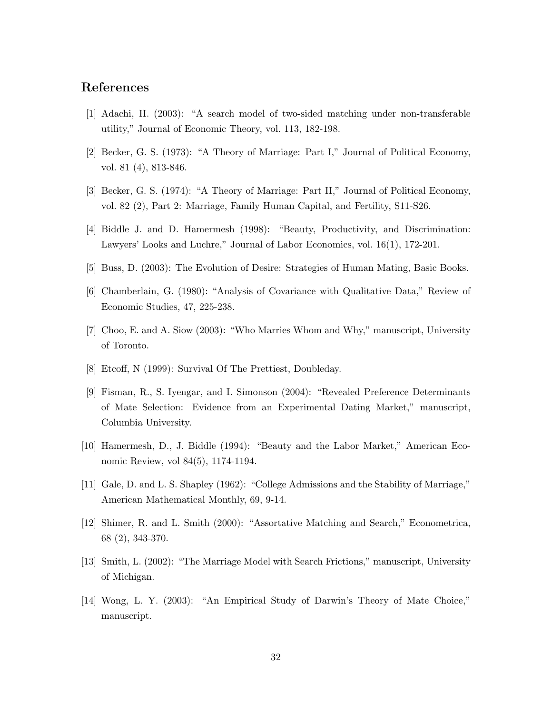### References

- [1] Adachi, H. (2003): "A search model of two-sided matching under non-transferable utility," Journal of Economic Theory, vol. 113, 182-198.
- [2] Becker, G. S. (1973): "A Theory of Marriage: Part I," Journal of Political Economy, vol. 81 (4), 813-846.
- [3] Becker, G. S. (1974): "A Theory of Marriage: Part II," Journal of Political Economy, vol. 82 (2), Part 2: Marriage, Family Human Capital, and Fertility, S11-S26.
- [4] Biddle J. and D. Hamermesh (1998): "Beauty, Productivity, and Discrimination: Lawyers' Looks and Luchre," Journal of Labor Economics, vol. 16(1), 172-201.
- [5] Buss, D. (2003): The Evolution of Desire: Strategies of Human Mating, Basic Books.
- [6] Chamberlain, G. (1980): "Analysis of Covariance with Qualitative Data," Review of Economic Studies, 47, 225-238.
- [7] Choo, E. and A. Siow (2003): "Who Marries Whom and Why," manuscript, University of Toronto.
- [8] Etcoff, N (1999): Survival Of The Prettiest, Doubleday.
- [9] Fisman, R., S. Iyengar, and I. Simonson (2004): "Revealed Preference Determinants of Mate Selection: Evidence from an Experimental Dating Market," manuscript, Columbia University.
- [10] Hamermesh, D., J. Biddle (1994): "Beauty and the Labor Market," American Economic Review, vol 84(5), 1174-1194.
- [11] Gale, D. and L. S. Shapley (1962): "College Admissions and the Stability of Marriage," American Mathematical Monthly, 69, 9-14.
- [12] Shimer, R. and L. Smith (2000): "Assortative Matching and Search," Econometrica, 68 (2), 343-370.
- [13] Smith, L. (2002): "The Marriage Model with Search Frictions," manuscript, University of Michigan.
- [14] Wong, L. Y. (2003): "An Empirical Study of Darwin's Theory of Mate Choice," manuscript.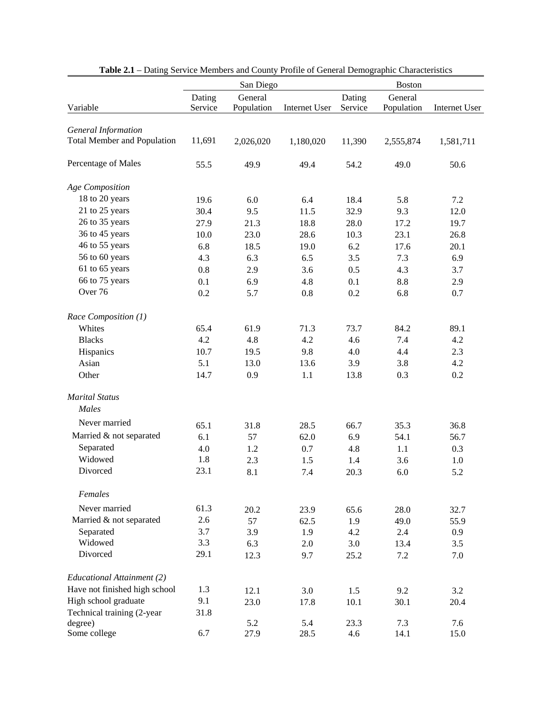|                                    |         | San Diego  |               | <b>Boston</b> |                  |               |
|------------------------------------|---------|------------|---------------|---------------|------------------|---------------|
|                                    | Dating  | General    |               | Dating        | General          |               |
| Variable                           | Service | Population | Internet User | Service       | Population       | Internet User |
| <b>General Information</b>         |         |            |               |               |                  |               |
| <b>Total Member and Population</b> | 11,691  | 2,026,020  | 1,180,020     | 11,390        | 2,555,874        | 1,581,711     |
|                                    |         |            |               |               |                  |               |
| Percentage of Males                | 55.5    | 49.9       | 49.4          | 54.2          | 49.0             | 50.6          |
| Age Composition                    |         |            |               |               |                  |               |
| 18 to 20 years                     | 19.6    | 6.0        | 6.4           | 18.4          | 5.8              | 7.2           |
| 21 to 25 years                     | 30.4    | 9.5        | 11.5          | 32.9          | 9.3              | 12.0          |
| 26 to 35 years                     | 27.9    | 21.3       | 18.8          | 28.0          | 17.2             | 19.7          |
| 36 to 45 years                     | 10.0    | 23.0       | 28.6          | 10.3          | 23.1             | 26.8          |
| 46 to 55 years                     | 6.8     | 18.5       | 19.0          | 6.2           | 17.6             | 20.1          |
| 56 to 60 years                     | 4.3     | 6.3        | 6.5           | 3.5           | 7.3              | 6.9           |
| 61 to 65 years                     | 0.8     | 2.9        | 3.6           | 0.5           | 4.3              | 3.7           |
| 66 to 75 years                     | 0.1     | 6.9        | 4.8           | 0.1           | 8.8              | 2.9           |
| Over <sub>76</sub>                 | 0.2     | 5.7        | $0.8\,$       | 0.2           | 6.8              | 0.7           |
| Race Composition (1)               |         |            |               |               |                  |               |
| Whites                             | 65.4    | 61.9       | 71.3          | 73.7          | 84.2             | 89.1          |
| <b>Blacks</b>                      | 4.2     | 4.8        | 4.2           | 4.6           | 7.4              | 4.2           |
| Hispanics                          | 10.7    | 19.5       | 9.8           | 4.0           | 4.4              | 2.3           |
| Asian                              | 5.1     | 13.0       | 13.6          | 3.9           | 3.8              | 4.2           |
| Other                              | 14.7    | 0.9        | 1.1           | 13.8          | 0.3              | 0.2           |
| <b>Marital Status</b>              |         |            |               |               |                  |               |
| Males                              |         |            |               |               |                  |               |
| Never married                      | 65.1    | 31.8       | 28.5          | 66.7          | 35.3             | 36.8          |
| Married & not separated            | 6.1     | 57         | 62.0          | 6.9           | 54.1             | 56.7          |
| Separated                          | 4.0     | 1.2        | 0.7           | 4.8           | 1.1              | 0.3           |
| Widowed                            | 1.8     | 2.3        | 1.5           | 1.4           | 3.6              | 1.0           |
| Divorced                           | 23.1    | 8.1        | 7.4           | 20.3          | 6.0              | 5.2           |
| Females                            |         |            |               |               |                  |               |
| Never married                      | 61.3    | 20.2       | 23.9          | 65.6          | 28.0             | 32.7          |
| Married & not separated            | 2.6     | 57         | 62.5          | 1.9           | 49.0             | 55.9          |
| Separated                          | 3.7     | 3.9        | 1.9           | 4.2           | $2.4\phantom{0}$ | 0.9           |
| Widowed                            | 3.3     | 6.3        | 2.0           | 3.0           | 13.4             | 3.5           |
| Divorced                           | 29.1    | 12.3       | 9.7           | 25.2          | 7.2              | 7.0           |
| Educational Attainment (2)         |         |            |               |               |                  |               |
| Have not finished high school      | 1.3     | 12.1       | 3.0           | 1.5           | 9.2              | 3.2           |
| High school graduate               | 9.1     | 23.0       | 17.8          | 10.1          | 30.1             | 20.4          |
| Technical training (2-year         | 31.8    |            |               |               |                  |               |
| degree)                            |         | 5.2        | 5.4           | 23.3          | 7.3              | 7.6           |
| Some college                       | 6.7     | 27.9       | 28.5          | 4.6           | 14.1             | 15.0          |

|  | Table 2.1 - Dating Service Members and County Profile of General Demographic Characteristics |  |
|--|----------------------------------------------------------------------------------------------|--|
|  |                                                                                              |  |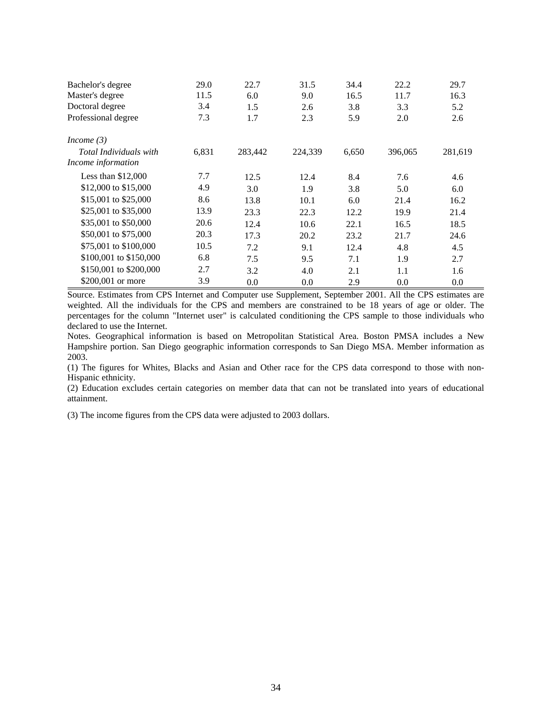| Bachelor's degree<br>Master's degree<br>Doctoral degree | 29.0<br>11.5<br>3.4 | 22.7<br>6.0<br>1.5 | 31.5<br>9.0<br>2.6 | 34.4<br>16.5<br>3.8 | 22.2<br>11.7<br>3.3 | 29.7<br>16.3<br>5.2 |
|---------------------------------------------------------|---------------------|--------------------|--------------------|---------------------|---------------------|---------------------|
| Professional degree                                     | 7.3                 | 1.7                | 2.3                | 5.9                 | 2.0                 | 2.6                 |
| Income $(3)$                                            |                     |                    |                    |                     |                     |                     |
| Total Individuals with                                  | 6,831               | 283,442            | 224,339            | 6,650               | 396,065             | 281,619             |
| Income information                                      |                     |                    |                    |                     |                     |                     |
| Less than $$12,000$                                     | 7.7                 | 12.5               | 12.4               | 8.4                 | 7.6                 | 4.6                 |
| \$12,000 to \$15,000                                    | 4.9                 | 3.0                | 1.9                | 3.8                 | 5.0                 | 6.0                 |
| \$15,001 to \$25,000                                    | 8.6                 | 13.8               | 10.1               | 6.0                 | 21.4                | 16.2                |
| \$25,001 to \$35,000                                    | 13.9                | 23.3               | 22.3               | 12.2                | 19.9                | 21.4                |
| \$35,001 to \$50,000                                    | 20.6                | 12.4               | 10.6               | 22.1                | 16.5                | 18.5                |
| \$50,001 to \$75,000                                    | 20.3                | 17.3               | 20.2               | 23.2                | 21.7                | 24.6                |
| \$75,001 to \$100,000                                   | 10.5                | 7.2                | 9.1                | 12.4                | 4.8                 | 4.5                 |
| \$100,001 to \$150,000                                  | 6.8                 | 7.5                | 9.5                | 7.1                 | 1.9                 | 2.7                 |
| \$150,001 to \$200,000                                  | 2.7                 | 3.2                | 4.0                | 2.1                 | 1.1                 | 1.6                 |
| \$200,001 or more                                       | 3.9                 | 0.0                | 0.0                | 2.9                 | 0.0                 | 0.0                 |

Source. Estimates from CPS Internet and Computer use Supplement, September 2001. All the CPS estimates are weighted. All the individuals for the CPS and members are constrained to be 18 years of age or older. The percentages for the column "Internet user" is calculated conditioning the CPS sample to those individuals who declared to use the Internet.

Notes. Geographical information is based on Metropolitan Statistical Area. Boston PMSA includes a New Hampshire portion. San Diego geographic information corresponds to San Diego MSA. Member information as 2003.

(1) The figures for Whites, Blacks and Asian and Other race for the CPS data correspond to those with non-Hispanic ethnicity.

(2) Education excludes certain categories on member data that can not be translated into years of educational attainment.

(3) The income figures from the CPS data were adjusted to 2003 dollars.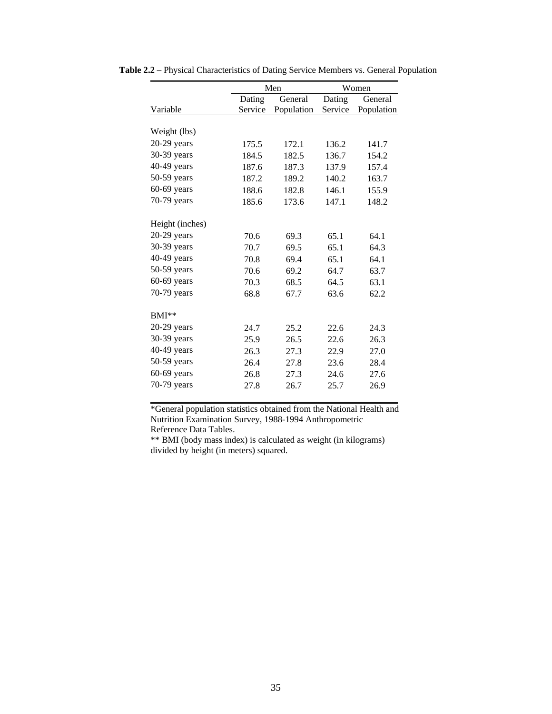|                 |         | Men        |         | Women      |  |  |
|-----------------|---------|------------|---------|------------|--|--|
|                 | Dating  | General    | Dating  | General    |  |  |
| Variable        | Service | Population | Service | Population |  |  |
|                 |         |            |         |            |  |  |
| Weight (lbs)    |         |            |         |            |  |  |
| $20-29$ years   | 175.5   | 172.1      | 136.2   | 141.7      |  |  |
| 30-39 years     | 184.5   | 182.5      | 136.7   | 154.2      |  |  |
| 40-49 years     | 187.6   | 187.3      | 137.9   | 157.4      |  |  |
| $50-59$ years   | 187.2   | 189.2      | 140.2   | 163.7      |  |  |
| $60-69$ years   | 188.6   | 182.8      | 146.1   | 155.9      |  |  |
| 70-79 years     | 185.6   | 173.6      | 147.1   | 148.2      |  |  |
|                 |         |            |         |            |  |  |
| Height (inches) |         |            |         |            |  |  |
| $20-29$ years   | 70.6    | 69.3       | 65.1    | 64.1       |  |  |
| 30-39 years     | 70.7    | 69.5       | 65.1    | 64.3       |  |  |
| 40-49 years     | 70.8    | 69.4       | 65.1    | 64.1       |  |  |
| $50-59$ years   | 70.6    | 69.2       | 64.7    | 63.7       |  |  |
| $60-69$ years   | 70.3    | 68.5       | 64.5    | 63.1       |  |  |
| 70-79 years     | 68.8    | 67.7       | 63.6    | 62.2       |  |  |
|                 |         |            |         |            |  |  |
| $BMI**$         |         |            |         |            |  |  |
| $20-29$ years   | 24.7    | 25.2       | 22.6    | 24.3       |  |  |
| 30-39 years     | 25.9    | 26.5       | 22.6    | 26.3       |  |  |
| 40-49 years     | 26.3    | 27.3       | 22.9    | 27.0       |  |  |
| $50-59$ years   | 26.4    | 27.8       | 23.6    | 28.4       |  |  |
| $60-69$ years   | 26.8    | 27.3       | 24.6    | 27.6       |  |  |
| 70-79 years     | 27.8    | 26.7       | 25.7    | 26.9       |  |  |
|                 |         |            |         |            |  |  |

**Table 2.2** – Physical Characteristics of Dating Service Members vs. General Population

\*General population statistics obtained from the National Health and Nutrition Examination Survey, 1988-1994 Anthropometric Reference Data Tables.

\*\* BMI (body mass index) is calculated as weight (in kilograms) divided by height (in meters) squared.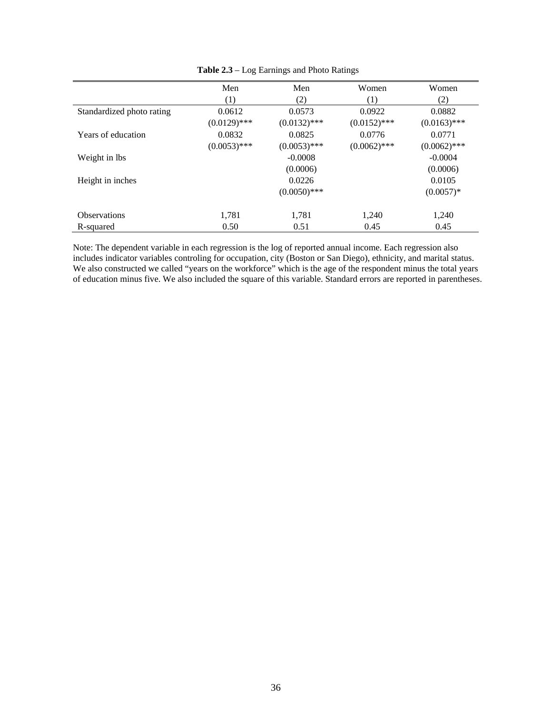|                           | Men            | Men            | Women          | Women          |
|---------------------------|----------------|----------------|----------------|----------------|
|                           | (1)            | (2)            | (1)            | (2)            |
| Standardized photo rating | 0.0612         | 0.0573         | 0.0922         | 0.0882         |
|                           | $(0.0129)$ *** | $(0.0132)$ *** | $(0.0152)$ *** | $(0.0163)$ *** |
| Years of education        | 0.0832         | 0.0825         | 0.0776         | 0.0771         |
|                           | $(0.0053)$ *** | $(0.0053)$ *** | $(0.0062)$ *** | $(0.0062)$ *** |
| Weight in lbs             |                | $-0.0008$      |                | $-0.0004$      |
|                           |                | (0.0006)       |                | (0.0006)       |
| Height in inches          |                | 0.0226         |                | 0.0105         |
|                           |                | $(0.0050)$ *** |                | $(0.0057)*$    |
| <b>Observations</b>       | 1,781          | 1,781          | 1,240          | 1,240          |
| R-squared                 | 0.50           | 0.51           | 0.45           | 0.45           |

**Table 2.3** – Log Earnings and Photo Ratings

Note: The dependent variable in each regression is the log of reported annual income. Each regression also includes indicator variables controling for occupation, city (Boston or San Diego), ethnicity, and marital status. We also constructed we called "years on the workforce" which is the age of the respondent minus the total years of education minus five. We also included the square of this variable. Standard errors are reported in parentheses.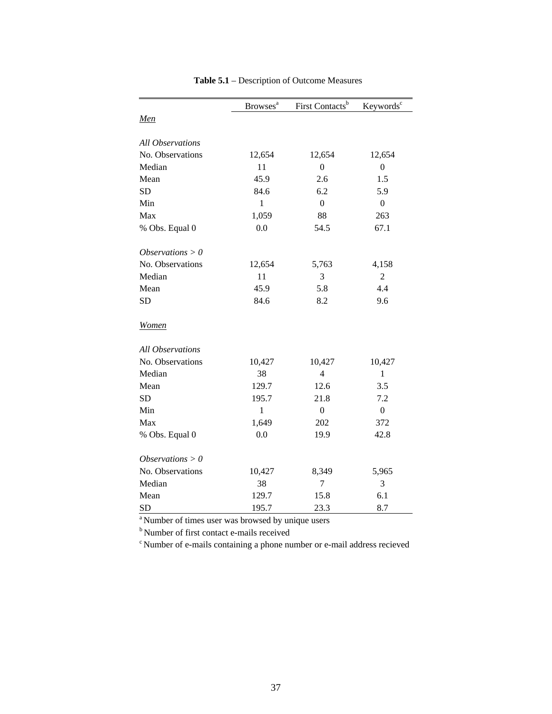|                         | <b>Browses</b> <sup>a</sup> | First Contacts <sup>b</sup> | Keywords <sup>c</sup> |
|-------------------------|-----------------------------|-----------------------------|-----------------------|
| Men                     |                             |                             |                       |
| <b>All Observations</b> |                             |                             |                       |
| No. Observations        | 12,654                      | 12,654                      | 12,654                |
| Median                  | 11                          | $\boldsymbol{0}$            | $\boldsymbol{0}$      |
| Mean                    | 45.9                        | 2.6                         | 1.5                   |
| <b>SD</b>               | 84.6                        | 6.2                         | 5.9                   |
| Min                     | $\mathbf{1}$                | $\overline{0}$              | $\overline{0}$        |
| Max                     | 1,059                       | 88                          | 263                   |
| % Obs. Equal 0          | 0.0                         | 54.5                        | 67.1                  |
| Observations $> 0$      |                             |                             |                       |
| No. Observations        | 12,654                      | 5,763                       | 4,158                 |
| Median                  | 11                          | 3                           | $\mathfrak{2}$        |
| Mean                    | 45.9                        | 5.8                         | 4.4                   |
| <b>SD</b>               | 84.6                        | 8.2                         | 9.6                   |
| <b>Women</b>            |                             |                             |                       |
| <b>All Observations</b> |                             |                             |                       |
| No. Observations        | 10,427                      | 10,427                      | 10,427                |
| Median                  | 38                          | $\overline{4}$              | $\mathbf{1}$          |
| Mean                    | 129.7                       | 12.6                        | 3.5                   |
| <b>SD</b>               | 195.7                       | 21.8                        | 7.2                   |
| Min                     | $\mathbf{1}$                | $\boldsymbol{0}$            | $\overline{0}$        |
| Max                     | 1,649                       | 202                         | 372                   |
| % Obs. Equal 0          | 0.0                         | 19.9                        | 42.8                  |
| Observations $> 0$      |                             |                             |                       |
| No. Observations        | 10,427                      | 8,349                       | 5,965                 |
| Median                  | 38                          | 7                           | 3                     |
| Mean                    | 129.7                       | 15.8                        | 6.1                   |
| <b>SD</b>               | 195.7                       | 23.3                        | 8.7                   |

**Table 5.1** – Description of Outcome Measures

<sup>a</sup> Number of times user was browsed by unique users

b Number of first contact e-mails received

c Number of e-mails containing a phone number or e-mail address recieved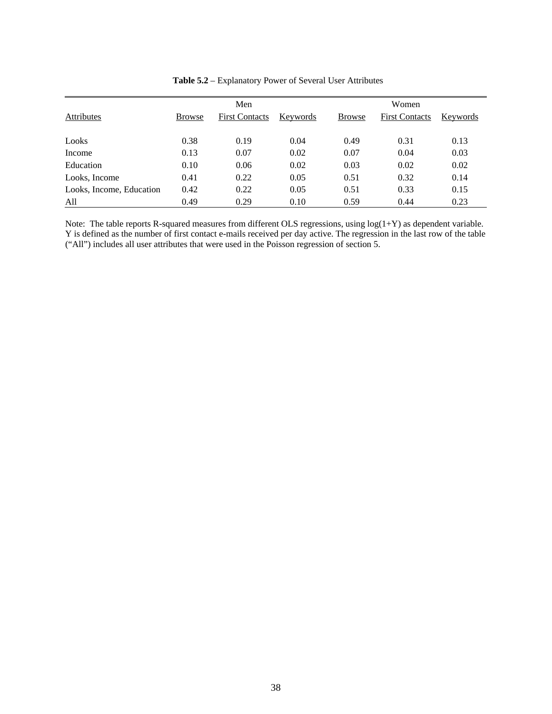| <b>Attributes</b>        | <b>Browse</b> | Men<br><b>First Contacts</b> | Keywords | <b>Browse</b> | Women<br><b>First Contacts</b> | Keywords |
|--------------------------|---------------|------------------------------|----------|---------------|--------------------------------|----------|
| Looks                    | 0.38          | 0.19                         | 0.04     | 0.49          | 0.31                           | 0.13     |
| Income                   | 0.13          | 0.07                         | 0.02     | 0.07          | 0.04                           | 0.03     |
| Education                | 0.10          | 0.06                         | 0.02     | 0.03          | 0.02                           | 0.02     |
| Looks, Income            | 0.41          | 0.22                         | 0.05     | 0.51          | 0.32                           | 0.14     |
| Looks, Income, Education | 0.42          | 0.22                         | 0.05     | 0.51          | 0.33                           | 0.15     |
| All                      | 0.49          | 0.29                         | 0.10     | 0.59          | 0.44                           | 0.23     |

**Table 5.2** – Explanatory Power of Several User Attributes

Note: The table reports R-squared measures from different OLS regressions, using log(1+Y) as dependent variable. Y is defined as the number of first contact e-mails received per day active. The regression in the last row of the table ("All") includes all user attributes that were used in the Poisson regression of section 5.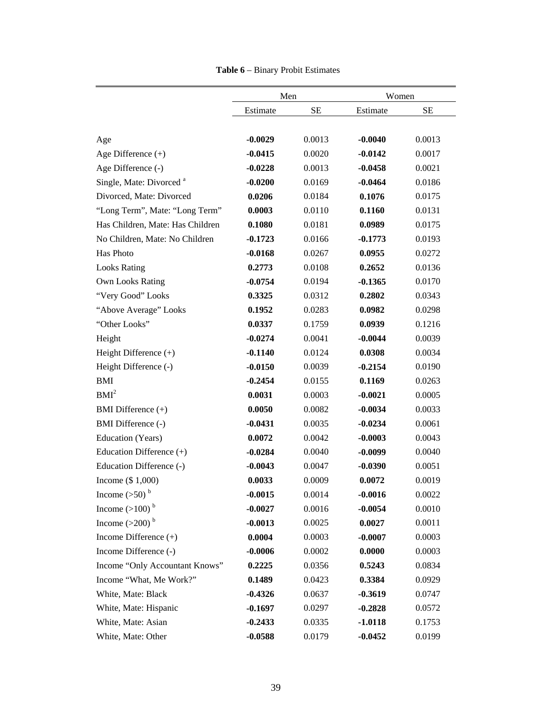|                                     | Men       |           | Women     |        |
|-------------------------------------|-----------|-----------|-----------|--------|
|                                     | Estimate  | <b>SE</b> | Estimate  | SЕ     |
|                                     | $-0.0029$ | 0.0013    |           |        |
| Age                                 |           |           | $-0.0040$ | 0.0013 |
| Age Difference $(+)$                | $-0.0415$ | 0.0020    | $-0.0142$ | 0.0017 |
| Age Difference (-)                  | $-0.0228$ | 0.0013    | $-0.0458$ | 0.0021 |
| Single, Mate: Divorced <sup>a</sup> | $-0.0200$ | 0.0169    | $-0.0464$ | 0.0186 |
| Divorced, Mate: Divorced            | 0.0206    | 0.0184    | 0.1076    | 0.0175 |
| "Long Term", Mate: "Long Term"      | 0.0003    | 0.0110    | 0.1160    | 0.0131 |
| Has Children, Mate: Has Children    | 0.1080    | 0.0181    | 0.0989    | 0.0175 |
| No Children, Mate: No Children      | $-0.1723$ | 0.0166    | $-0.1773$ | 0.0193 |
| Has Photo                           | $-0.0168$ | 0.0267    | 0.0955    | 0.0272 |
| <b>Looks Rating</b>                 | 0.2773    | 0.0108    | 0.2652    | 0.0136 |
| <b>Own Looks Rating</b>             | $-0.0754$ | 0.0194    | $-0.1365$ | 0.0170 |
| "Very Good" Looks                   | 0.3325    | 0.0312    | 0.2802    | 0.0343 |
| "Above Average" Looks               | 0.1952    | 0.0283    | 0.0982    | 0.0298 |
| "Other Looks"                       | 0.0337    | 0.1759    | 0.0939    | 0.1216 |
| Height                              | $-0.0274$ | 0.0041    | $-0.0044$ | 0.0039 |
| Height Difference (+)               | $-0.1140$ | 0.0124    | 0.0308    | 0.0034 |
| Height Difference (-)               | $-0.0150$ | 0.0039    | $-0.2154$ | 0.0190 |
| BMI                                 | $-0.2454$ | 0.0155    | 0.1169    | 0.0263 |
| BMI <sup>2</sup>                    | 0.0031    | 0.0003    | $-0.0021$ | 0.0005 |
| BMI Difference (+)                  | 0.0050    | 0.0082    | $-0.0034$ | 0.0033 |
| BMI Difference (-)                  | $-0.0431$ | 0.0035    | $-0.0234$ | 0.0061 |
| Education (Years)                   | 0.0072    | 0.0042    | $-0.0003$ | 0.0043 |
| Education Difference (+)            | $-0.0284$ | 0.0040    | $-0.0099$ | 0.0040 |
| Education Difference (-)            | $-0.0043$ | 0.0047    | $-0.0390$ | 0.0051 |
| Income $(\$ 1,000)$                 | 0.0033    | 0.0009    | 0.0072    | 0.0019 |
| Income $(>50)$ <sup>b</sup>         | $-0.0015$ | 0.0014    | $-0.0016$ | 0.0022 |
| Income $(>100)$ <sup>b</sup>        | $-0.0027$ | 0.0016    | $-0.0054$ | 0.0010 |
| Income $(>200)$ <sup>b</sup>        | $-0.0013$ | 0.0025    | 0.0027    | 0.0011 |
| Income Difference $(+)$             | 0.0004    | 0.0003    | $-0.0007$ | 0.0003 |
| Income Difference (-)               | $-0.0006$ | 0.0002    | 0.0000    | 0.0003 |
| Income "Only Accountant Knows"      | 0.2225    | 0.0356    | 0.5243    | 0.0834 |
| Income "What, Me Work?"             | 0.1489    | 0.0423    | 0.3384    | 0.0929 |
| White, Mate: Black                  | $-0.4326$ | 0.0637    | $-0.3619$ | 0.0747 |
| White, Mate: Hispanic               | $-0.1697$ | 0.0297    | $-0.2828$ | 0.0572 |
| White, Mate: Asian                  | $-0.2433$ | 0.0335    | $-1.0118$ | 0.1753 |
| White, Mate: Other                  | $-0.0588$ | 0.0179    | $-0.0452$ | 0.0199 |

**Table 6** – Binary Probit Estimates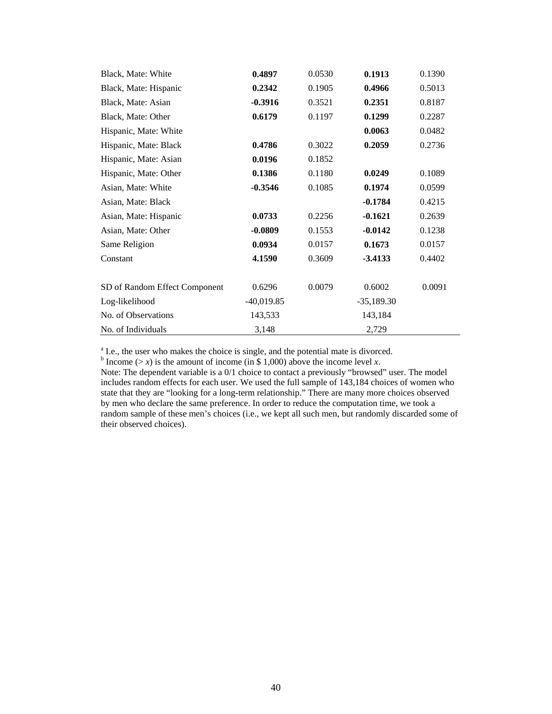| Black, Mate: White            | 0.4897       | 0.0530 | 0.1913       | 0.1390 |
|-------------------------------|--------------|--------|--------------|--------|
| Black, Mate: Hispanic         | 0.2342       | 0.1905 | 0.4966       | 0.5013 |
| Black, Mate: Asian            | $-0.3916$    | 0.3521 | 0.2351       | 0.8187 |
| Black, Mate: Other            | 0.6179       | 0.1197 | 0.1299       | 0.2287 |
| Hispanic, Mate: White         |              |        | 0.0063       | 0.0482 |
| Hispanic, Mate: Black         | 0.4786       | 0.3022 | 0.2059       | 0.2736 |
| Hispanic, Mate: Asian         | 0.0196       | 0.1852 |              |        |
| Hispanic, Mate: Other         | 0.1386       | 0.1180 | 0.0249       | 0.1089 |
| Asian, Mate: White            | $-0.3546$    | 0.1085 | 0.1974       | 0.0599 |
| Asian, Mate: Black            |              |        | $-0.1784$    | 0.4215 |
| Asian, Mate: Hispanic         | 0.0733       | 0.2256 | $-0.1621$    | 0.2639 |
| Asian, Mate: Other            | $-0.0809$    | 0.1553 | $-0.0142$    | 0.1238 |
| Same Religion                 | 0.0934       | 0.0157 | 0.1673       | 0.0157 |
| Constant                      | 4.1590       | 0.3609 | $-3.4133$    | 0.4402 |
| SD of Random Effect Component | 0.6296       | 0.0079 | 0.6002       | 0.0091 |
| Log-likelihood                | $-40,019.85$ |        | $-35,189.30$ |        |
| No. of Observations           | 143,533      |        | 143,184      |        |
| No. of Individuals            | 3,148        |        | 2,729        |        |

<sup>a</sup> I.e., the user who makes the choice is single, and the potential mate is divorced.

<sup>b</sup> Income ( $> x$ ) is the amount of income (in \$ 1,000) above the income level *x*.

Note: The dependent variable is a 0/1 choice to contact a previously "browsed" user. The model includes random effects for each user. We used the full sample of 143,184 choices of women who state that they are "looking for a long-term relationship." There are many more choices observed by men who declare the same preference. In order to reduce the computation time, we took a random sample of these men's choices (i.e., we kept all such men, but randomly discarded some of their observed choices).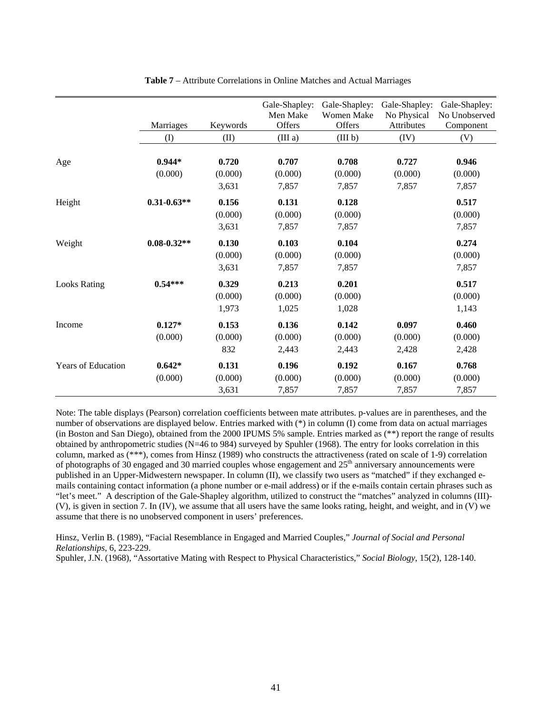|                           | Marriages       | Keywords | Gale-Shapley:<br>Men Make<br>Offers | Gale-Shapley:<br><b>Women Make</b><br>Offers | Gale-Shapley:<br>No Physical<br>Attributes | Gale-Shapley:<br>No Unobserved<br>Component |
|---------------------------|-----------------|----------|-------------------------------------|----------------------------------------------|--------------------------------------------|---------------------------------------------|
|                           | (1)             | (II)     | (III a)                             | (III <sub>b</sub> )                          | (IV)                                       | (V)                                         |
|                           |                 |          |                                     |                                              |                                            |                                             |
| Age                       | $0.944*$        | 0.720    | 0.707                               | 0.708                                        | 0.727                                      | 0.946                                       |
|                           | (0.000)         | (0.000)  | (0.000)                             | (0.000)                                      | (0.000)                                    | (0.000)                                     |
|                           |                 | 3,631    | 7,857                               | 7,857                                        | 7,857                                      | 7,857                                       |
| Height                    | $0.31 - 0.63**$ | 0.156    | 0.131                               | 0.128                                        |                                            | 0.517                                       |
|                           |                 | (0.000)  | (0.000)                             | (0.000)                                      |                                            | (0.000)                                     |
|                           |                 | 3,631    | 7,857                               | 7,857                                        |                                            | 7,857                                       |
| Weight                    | $0.08 - 0.32**$ | 0.130    | 0.103                               | 0.104                                        |                                            | 0.274                                       |
|                           |                 | (0.000)  | (0.000)                             | (0.000)                                      |                                            | (0.000)                                     |
|                           |                 | 3,631    | 7,857                               | 7,857                                        |                                            | 7,857                                       |
| <b>Looks Rating</b>       | $0.54***$       | 0.329    | 0.213                               | 0.201                                        |                                            | 0.517                                       |
|                           |                 | (0.000)  | (0.000)                             | (0.000)                                      |                                            | (0.000)                                     |
|                           |                 | 1,973    | 1,025                               | 1,028                                        |                                            | 1,143                                       |
| Income                    | $0.127*$        | 0.153    | 0.136                               | 0.142                                        | 0.097                                      | 0.460                                       |
|                           | (0.000)         | (0.000)  | (0.000)                             | (0.000)                                      | (0.000)                                    | (0.000)                                     |
|                           |                 | 832      | 2,443                               | 2,443                                        | 2,428                                      | 2,428                                       |
| <b>Years of Education</b> | $0.642*$        | 0.131    | 0.196                               | 0.192                                        | 0.167                                      | 0.768                                       |
|                           | (0.000)         | (0.000)  | (0.000)                             | (0.000)                                      | (0.000)                                    | (0.000)                                     |
|                           |                 | 3,631    | 7,857                               | 7,857                                        | 7,857                                      | 7,857                                       |

**Table 7** – Attribute Correlations in Online Matches and Actual Marriages

Note: The table displays (Pearson) correlation coefficients between mate attributes. p-values are in parentheses, and the number of observations are displayed below. Entries marked with (\*) in column (I) come from data on actual marriages (in Boston and San Diego), obtained from the 2000 IPUMS 5% sample. Entries marked as (\*\*) report the range of results obtained by anthropometric studies (N=46 to 984) surveyed by Spuhler (1968). The entry for looks correlation in this column, marked as (\*\*\*), comes from Hinsz (1989) who constructs the attractiveness (rated on scale of 1-9) correlation of photographs of 30 engaged and 30 married couples whose engagement and  $25<sup>th</sup>$  anniversary announcements were published in an Upper-Midwestern newspaper. In column (II), we classify two users as "matched" if they exchanged emails containing contact information (a phone number or e-mail address) or if the e-mails contain certain phrases such as "let's meet." A description of the Gale-Shapley algorithm, utilized to construct the "matches" analyzed in columns (III)- (V), is given in section 7. In (IV), we assume that all users have the same looks rating, height, and weight, and in (V) we assume that there is no unobserved component in users' preferences.

Hinsz, Verlin B. (1989), "Facial Resemblance in Engaged and Married Couples," *Journal of Social and Personal Relationships*, 6, 223-229.

Spuhler, J.N. (1968), "Assortative Mating with Respect to Physical Characteristics," *Social Biology*, 15(2), 128-140.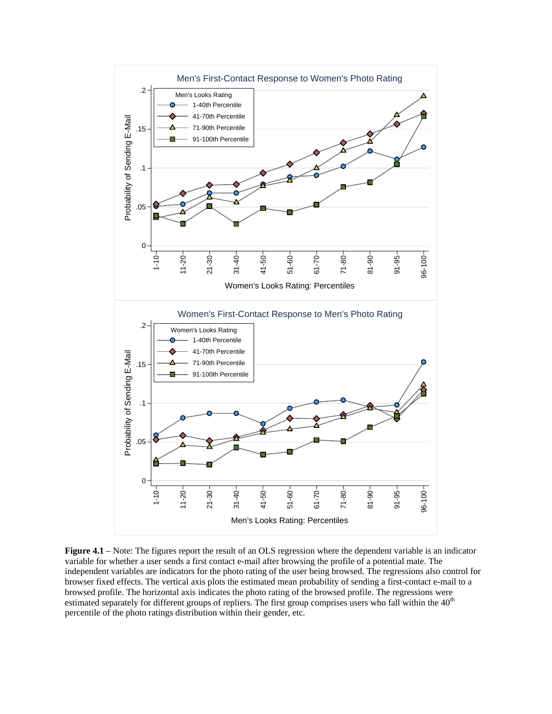

**Figure 4.1** – Note: The figures report the result of an OLS regression where the dependent variable is an indicator variable for whether a user sends a first contact e-mail after browsing the profile of a potential mate. The independent variables are indicators for the photo rating of the user being browsed. The regressions also control for browser fixed effects. The vertical axis plots the estimated mean probability of sending a first-contact e-mail to a browsed profile. The horizontal axis indicates the photo rating of the browsed profile. The regressions were estimated separately for different groups of repliers. The first group comprises users who fall within the 40<sup>th</sup> percentile of the photo ratings distribution within their gender, etc.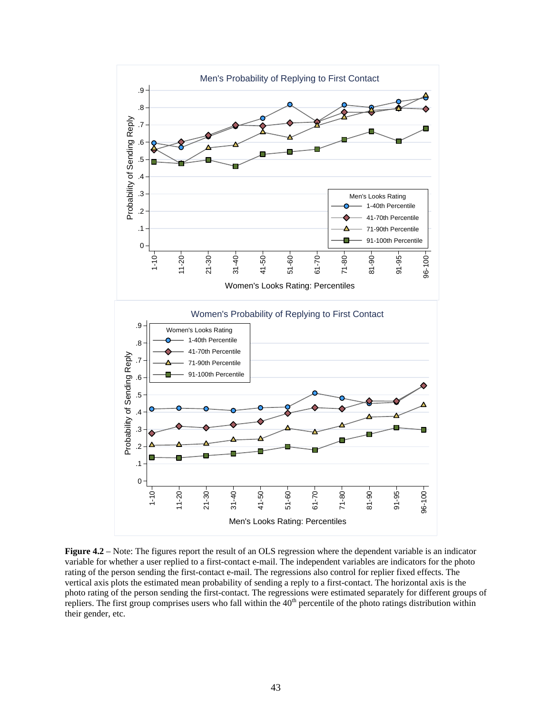

**Figure 4.2** – Note: The figures report the result of an OLS regression where the dependent variable is an indicator variable for whether a user replied to a first-contact e-mail. The independent variables are indicators for the photo rating of the person sending the first-contact e-mail. The regressions also control for replier fixed effects. The vertical axis plots the estimated mean probability of sending a reply to a first-contact. The horizontal axis is the photo rating of the person sending the first-contact. The regressions were estimated separately for different groups of repliers. The first group comprises users who fall within the 40<sup>th</sup> percentile of the photo ratings distribution within their gender, etc.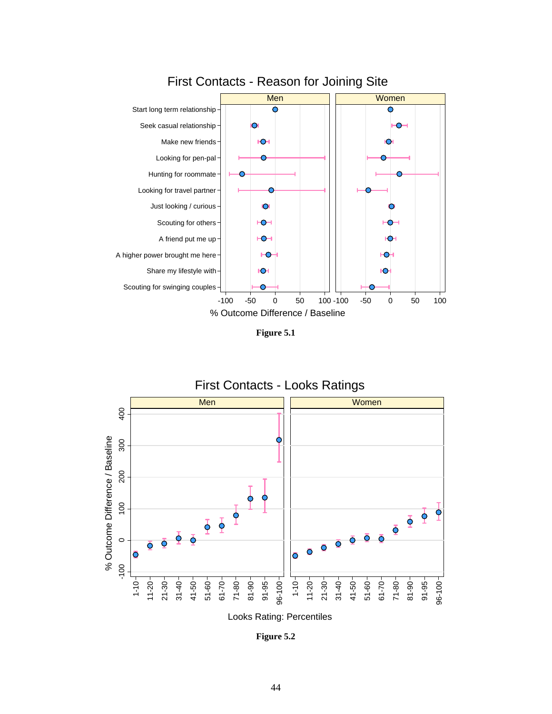

First Contacts - Reason for Joining Site

**Figure 5.1** 



**Figure 5.2**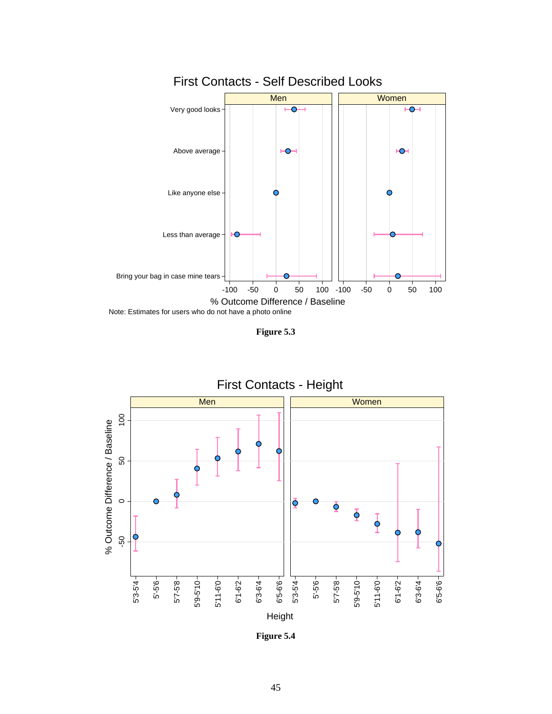

**Figure 5.3** 



**Figure 5.4**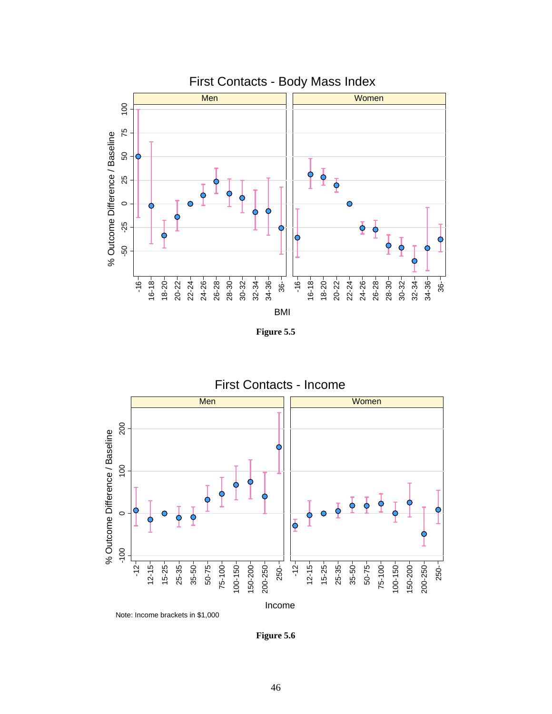

**Figure 5.5** 



**Figure 5.6**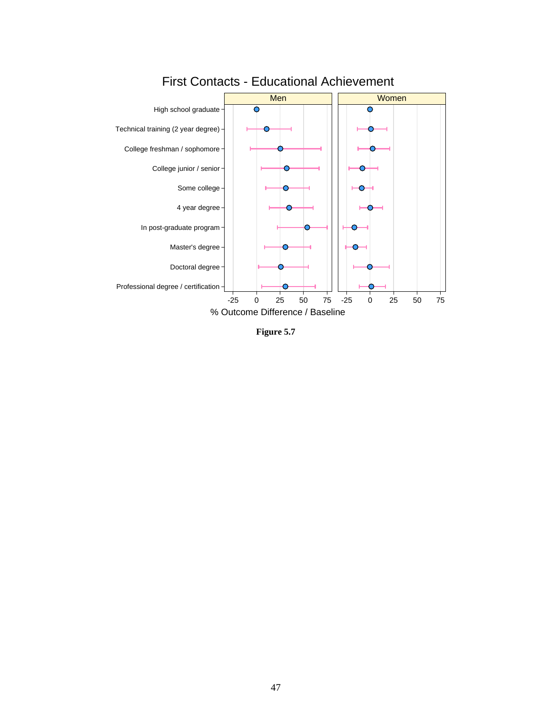

## First Contacts - Educational Achievement

**Figure 5.7**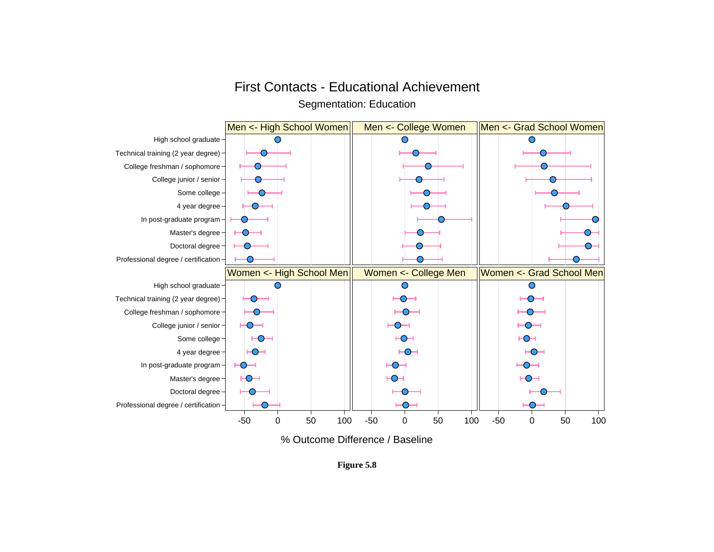## First Contacts - Educational Achievement

Segmentation: Education



**Figure 5.8**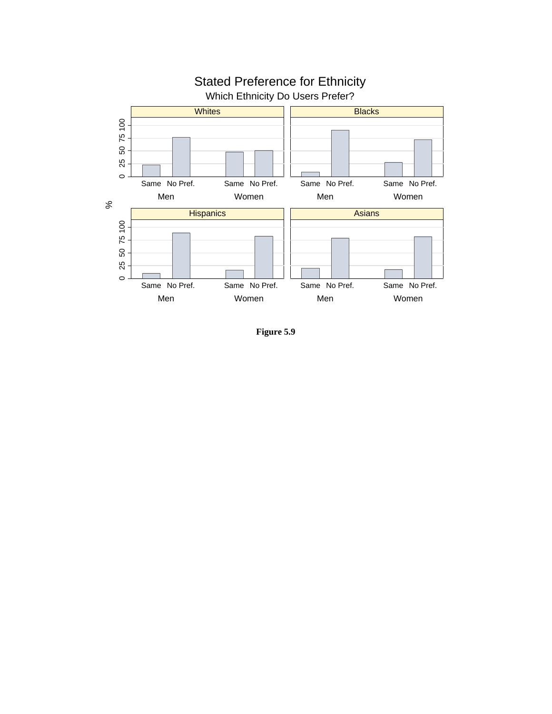

**Figure 5.9**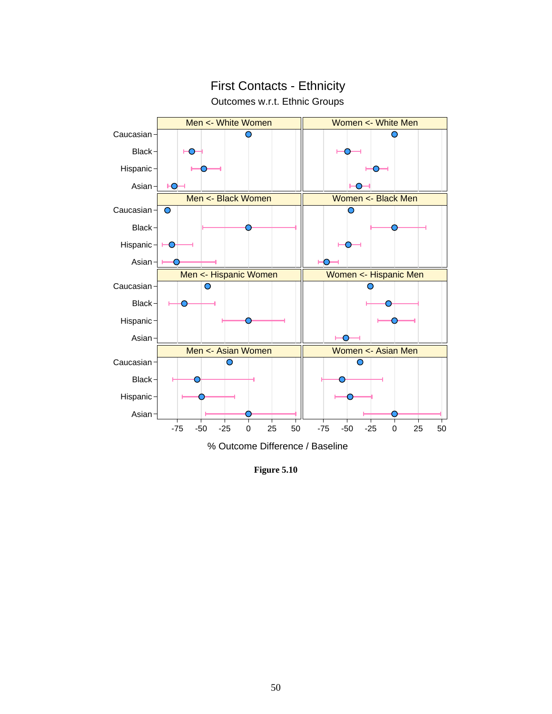

## Outcomes w.r.t. Ethnic Groups First Contacts - Ethnicity

**Figure 5.10**